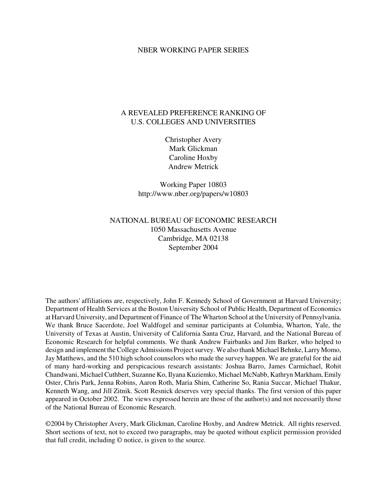## NBER WORKING PAPER SERIES

# A REVEALED PREFERENCE RANKING OF U.S. COLLEGES AND UNIVERSITIES

Christopher Avery Mark Glickman Caroline Hoxby Andrew Metrick

Working Paper 10803 http://www.nber.org/papers/w10803

# NATIONAL BUREAU OF ECONOMIC RESEARCH 1050 Massachusetts Avenue Cambridge, MA 02138 September 2004

The authors' affiliations are, respectively, John F. Kennedy School of Government at Harvard University; Department of Health Services at the Boston University School of Public Health, Department of Economics at Harvard University, and Department of Finance of The Wharton School at the University of Pennsylvania. We thank Bruce Sacerdote, Joel Waldfogel and seminar participants at Columbia, Wharton, Yale, the University of Texas at Austin, University of California Santa Cruz, Harvard, and the National Bureau of Economic Research for helpful comments. We thank Andrew Fairbanks and Jim Barker, who helped to design and implement the College Admissions Project survey. We also thank Michael Behnke, Larry Momo, Jay Matthews, and the 510 high school counselors who made the survey happen. We are grateful for the aid of many hard-working and perspicacious research assistants: Joshua Barro, James Carmichael, Rohit Chandwani, Michael Cuthbert, Suzanne Ko, Ilyana Kuziemko, Michael McNabb, Kathryn Markham, Emily Oster, Chris Park, Jenna Robins, Aaron Roth, Maria Shim, Catherine So, Rania Succar, Michael Thakur, Kenneth Wang, and Jill Zitnik. Scott Resnick deserves very special thanks. The first version of this paper appeared in October 2002. The views expressed herein are those of the author(s) and not necessarily those of the National Bureau of Economic Research.

©2004 by Christopher Avery, Mark Glickman, Caroline Hoxby, and Andrew Metrick. All rights reserved. Short sections of text, not to exceed two paragraphs, may be quoted without explicit permission provided that full credit, including © notice, is given to the source.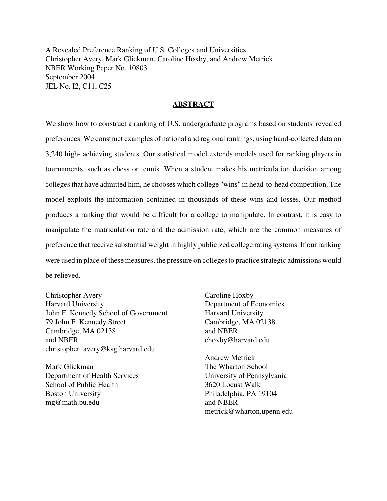A Revealed Preference Ranking of U.S. Colleges and Universities Christopher Avery, Mark Glickman, Caroline Hoxby, and Andrew Metrick NBER Working Paper No. 10803 September 2004 JEL No. I2, C11, C25

# **ABSTRACT**

We show how to construct a ranking of U.S. undergraduate programs based on students' revealed preferences. We construct examples of national and regional rankings, using hand-collected data on 3,240 high- achieving students. Our statistical model extends models used for ranking players in tournaments, such as chess or tennis. When a student makes his matriculation decision among collegesthat have admitted him, he chooses which college "wins" in head-to-head competition. The model exploits the information contained in thousands of these wins and losses. Our method produces a ranking that would be difficult for a college to manipulate. In contrast, it is easy to manipulate the matriculation rate and the admission rate, which are the common measures of preference that receive substantial weight in highly publicized college rating systems. If our ranking were used in place of these measures, the pressure on collegesto practice strategic admissions would be relieved.

Christopher Avery Harvard University John F. Kennedy School of Government 79 John F. Kennedy Street Cambridge, MA 02138 and NBER christopher\_avery@ksg.harvard.edu

Mark Glickman Department of Health Services School of Public Health Boston University mg@math.bu.edu

Caroline Hoxby Department of Economics Harvard University Cambridge, MA 02138 and NBER choxby@harvard.edu

Andrew Metrick The Wharton School University of Pennsylvania 3620 Locust Walk Philadelphia, PA 19104 and NBER metrick@wharton.upenn.edu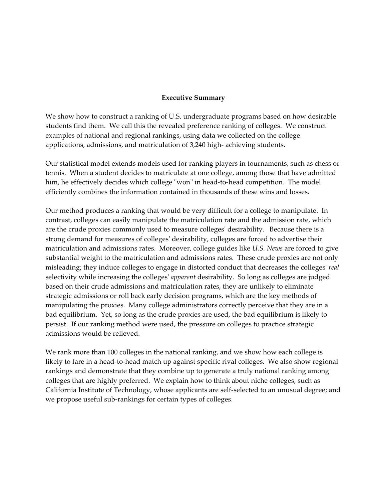# **Executive Summary**

We show how to construct a ranking of U.S. undergraduate programs based on how desirable students find them. We call this the revealed preference ranking of colleges. We construct examples of national and regional rankings, using data we collected on the college applications, admissions, and matriculation of 3,240 high- achieving students.

Our statistical model extends models used for ranking players in tournaments, such as chess or tennis. When a student decides to matriculate at one college, among those that have admitted him, he effectively decides which college "won" in head-to-head competition. The model efficiently combines the information contained in thousands of these wins and losses.

Our method produces a ranking that would be very difficult for a college to manipulate. In contrast, colleges can easily manipulate the matriculation rate and the admission rate, which are the crude proxies commonly used to measure colleges' desirability. Because there is a strong demand for measures of colleges' desirability, colleges are forced to advertise their matriculation and admissions rates. Moreover, college guides like *U.S. News* are forced to give substantial weight to the matriculation and admissions rates. These crude proxies are not only misleading; they induce colleges to engage in distorted conduct that decreases the colleges' *real* selectivity while increasing the colleges' *apparent* desirability. So long as colleges are judged based on their crude admissions and matriculation rates, they are unlikely to eliminate strategic admissions or roll back early decision programs, which are the key methods of manipulating the proxies. Many college administrators correctly perceive that they are in a bad equilibrium. Yet, so long as the crude proxies are used, the bad equilibrium is likely to persist. If our ranking method were used, the pressure on colleges to practice strategic admissions would be relieved.

We rank more than 100 colleges in the national ranking, and we show how each college is likely to fare in a head-to-head match up against specific rival colleges. We also show regional rankings and demonstrate that they combine up to generate a truly national ranking among colleges that are highly preferred. We explain how to think about niche colleges, such as California Institute of Technology, whose applicants are self-selected to an unusual degree; and we propose useful sub-rankings for certain types of colleges.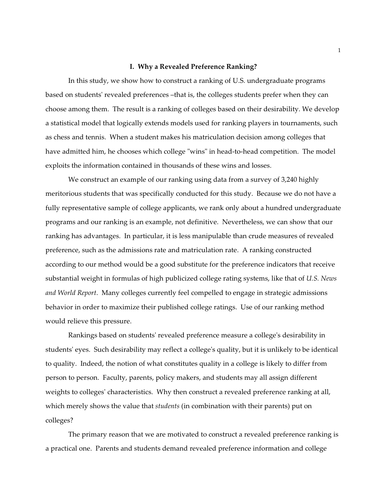#### **I. Why a Revealed Preference Ranking?**

In this study, we show how to construct a ranking of U.S. undergraduate programs based on students' revealed preferences –that is, the colleges students prefer when they can choose among them. The result is a ranking of colleges based on their desirability. We develop a statistical model that logically extends models used for ranking players in tournaments, such as chess and tennis. When a student makes his matriculation decision among colleges that have admitted him, he chooses which college "wins" in head-to-head competition. The model exploits the information contained in thousands of these wins and losses.

We construct an example of our ranking using data from a survey of 3,240 highly meritorious students that was specifically conducted for this study. Because we do not have a fully representative sample of college applicants, we rank only about a hundred undergraduate programs and our ranking is an example, not definitive. Nevertheless, we can show that our ranking has advantages. In particular, it is less manipulable than crude measures of revealed preference, such as the admissions rate and matriculation rate. A ranking constructed according to our method would be a good substitute for the preference indicators that receive substantial weight in formulas of high publicized college rating systems, like that of *U.S. News and World Report*. Many colleges currently feel compelled to engage in strategic admissions behavior in order to maximize their published college ratings. Use of our ranking method would relieve this pressure.

Rankings based on students' revealed preference measure a college's desirability in students' eyes. Such desirability may reflect a college's quality, but it is unlikely to be identical to quality. Indeed, the notion of what constitutes quality in a college is likely to differ from person to person. Faculty, parents, policy makers, and students may all assign different weights to colleges' characteristics. Why then construct a revealed preference ranking at all, which merely shows the value that *students* (in combination with their parents) put on colleges?

The primary reason that we are motivated to construct a revealed preference ranking is a practical one. Parents and students demand revealed preference information and college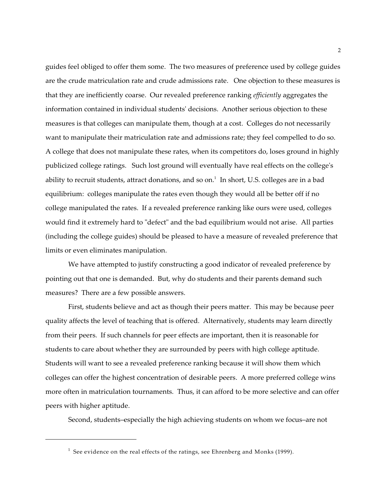guides feel obliged to offer them some. The two measures of preference used by college guides are the crude matriculation rate and crude admissions rate. One objection to these measures is that they are inefficiently coarse. Our revealed preference ranking *efficiently* aggregates the information contained in individual students' decisions. Another serious objection to these measures is that colleges can manipulate them, though at a cost. Colleges do not necessarily want to manipulate their matriculation rate and admissions rate; they feel compelled to do so. A college that does not manipulate these rates, when its competitors do, loses ground in highly publicized college ratings. Such lost ground will eventually have real effects on the college's ability to recruit students, attract donations, and so on.<sup>1</sup> In short, U.S. colleges are in a bad equilibrium: colleges manipulate the rates even though they would all be better off if no college manipulated the rates. If a revealed preference ranking like ours were used, colleges would find it extremely hard to "defect" and the bad equilibrium would not arise. All parties (including the college guides) should be pleased to have a measure of revealed preference that limits or even eliminates manipulation.

We have attempted to justify constructing a good indicator of revealed preference by pointing out that one is demanded. But, why do students and their parents demand such measures? There are a few possible answers.

First, students believe and act as though their peers matter. This may be because peer quality affects the level of teaching that is offered. Alternatively, students may learn directly from their peers. If such channels for peer effects are important, then it is reasonable for students to care about whether they are surrounded by peers with high college aptitude. Students will want to see a revealed preference ranking because it will show them which colleges can offer the highest concentration of desirable peers. A more preferred college wins more often in matriculation tournaments. Thus, it can afford to be more selective and can offer peers with higher aptitude.

Second, students–especially the high achieving students on whom we focus–are not

 $1$  See evidence on the real effects of the ratings, see Ehrenberg and Monks (1999).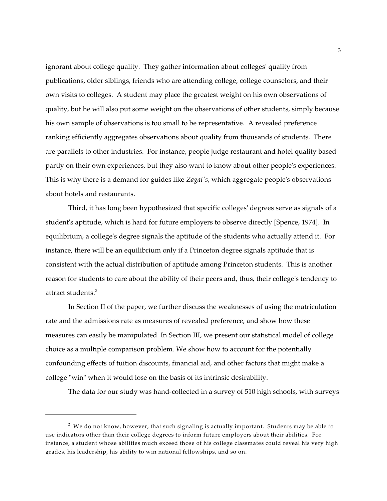ignorant about college quality. They gather information about colleges' quality from publications, older siblings, friends who are attending college, college counselors, and their own visits to colleges. A student may place the greatest weight on his own observations of quality, but he will also put some weight on the observations of other students, simply because his own sample of observations is too small to be representative. A revealed preference ranking efficiently aggregates observations about quality from thousands of students. There are parallels to other industries. For instance, people judge restaurant and hotel quality based partly on their own experiences, but they also want to know about other people's experiences. This is why there is a demand for guides like *Zagat's*, which aggregate people's observations about hotels and restaurants.

Third, it has long been hypothesized that specific colleges' degrees serve as signals of a student's aptitude, which is hard for future employers to observe directly [Spence, 1974]. In equilibrium, a college's degree signals the aptitude of the students who actually attend it. For instance, there will be an equilibrium only if a Princeton degree signals aptitude that is consistent with the actual distribution of aptitude among Princeton students. This is another reason for students to care about the ability of their peers and, thus, their college's tendency to attract students.<sup>2</sup>

In Section II of the paper, we further discuss the weaknesses of using the matriculation rate and the admissions rate as measures of revealed preference, and show how these measures can easily be manipulated. In Section III, we present our statistical model of college choice as a multiple comparison problem. We show how to account for the potentially confounding effects of tuition discounts, financial aid, and other factors that might make a college "win" when it would lose on the basis of its intrinsic desirability.

The data for our study was hand-collected in a survey of 510 high schools, with surveys

 $<sup>2</sup>$  We do not know, however, that such signaling is actually important. Students may be able to</sup> use indicators other than their college degrees to inform future employers about their abilities. For instance, a student whose abilities much exceed those of his college classmates could reveal his very high grades, his leadership, his ability to win national fellowships, and so on.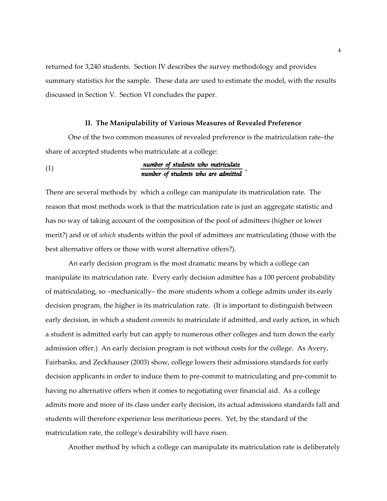returned for 3,240 students. Section IV describes the survey methodology and provides summary statistics for the sample. These data are used to estimate the model, with the results discussed in Section V. Section VI concludes the paper.

#### **II. The Manipulability of Various Measures of Revealed Preference**

One of the two common measures of revealed preference is the matriculation rate–the share of accepted students who matriculate at a college:

number of students who matriculate (1) number of students who are admitted

There are several methods by which a college can manipulate its matriculation rate. The reason that most methods work is that the matriculation rate is just an aggregate statistic and has no way of taking account of the composition of the pool of admittees (higher or lower merit?) and or of *which* students within the pool of admittees are matriculating (those with the best alternative offers or those with worst alternative offers?).

An early decision program is the most dramatic means by which a college can manipulate its matriculation rate. Every early decision admittee has a 100 percent probability of matriculating, so –mechanically– the more students whom a college admits under its early decision program, the higher is its matriculation rate. (It is important to distinguish between early decision, in which a student *commits* to matriculate if admitted, and early action, in which a student is admitted early but can apply to numerous other colleges and turn down the early admission offer.) An early decision program is not without costs for the college. As Avery, Fairbanks, and Zeckhauser (2003) show, college lowers their admissions standards for early decision applicants in order to induce them to pre-commit to matriculating and pre-commit to having no alternative offers when it comes to negotiating over financial aid. As a college admits more and more of its class under early decision, its actual admissions standards fall and students will therefore experience less meritorious peers. Yet, by the standard of the matriculation rate, the college's desirability will have risen.

Another method by which a college can manipulate its matriculation rate is deliberately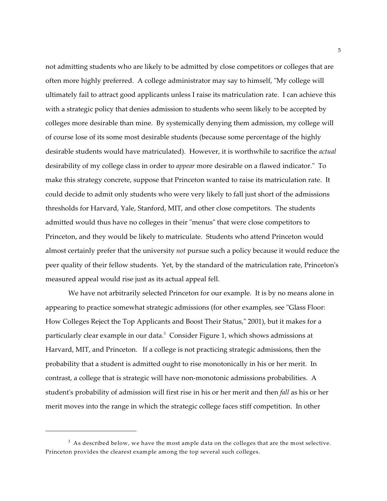not admitting students who are likely to be admitted by close competitors or colleges that are often more highly preferred. A college administrator may say to himself, "My college will ultimately fail to attract good applicants unless I raise its matriculation rate. I can achieve this with a strategic policy that denies admission to students who seem likely to be accepted by colleges more desirable than mine. By systemically denying them admission, my college will of course lose of its some most desirable students (because some percentage of the highly desirable students would have matriculated). However, it is worthwhile to sacrifice the *actual* desirability of my college class in order to *appear* more desirable on a flawed indicator." To make this strategy concrete, suppose that Princeton wanted to raise its matriculation rate. It could decide to admit only students who were very likely to fall just short of the admissions thresholds for Harvard, Yale, Stanford, MIT, and other close competitors. The students admitted would thus have no colleges in their "menus" that were close competitors to Princeton, and they would be likely to matriculate. Students who attend Princeton would almost certainly prefer that the university *not* pursue such a policy because it would reduce the peer quality of their fellow students. Yet, by the standard of the matriculation rate, Princeton's measured appeal would rise just as its actual appeal fell.

We have not arbitrarily selected Princeton for our example. It is by no means alone in appearing to practice somewhat strategic admissions (for other examples, see "Glass Floor: How Colleges Reject the Top Applicants and Boost Their Status," 2001), but it makes for a particularly clear example in our data. $3$  Consider Figure 1, which shows admissions at Harvard, MIT, and Princeton. If a college is not practicing strategic admissions, then the probability that a student is admitted ought to rise monotonically in his or her merit. In contrast, a college that is strategic will have non-monotonic admissions probabilities. A student's probability of admission will first rise in his or her merit and then *fall* as his or her merit moves into the range in which the strategic college faces stiff competition. In other

 $^3$  As described below, we have the most ample data on the colleges that are the most selective. Princeton provides the clearest example among the top several such colleges.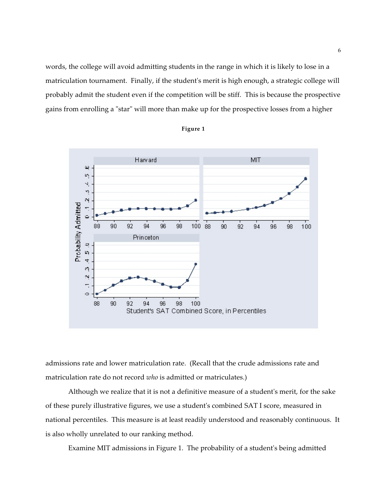words, the college will avoid admitting students in the range in which it is likely to lose in a matriculation tournament. Finally, if the student's merit is high enough, a strategic college will probably admit the student even if the competition will be stiff. This is because the prospective gains from enrolling a "star" will more than make up for the prospective losses from a higher





admissions rate and lower matriculation rate. (Recall that the crude admissions rate and matriculation rate do not record *who* is admitted or matriculates.)

Although we realize that it is not a definitive measure of a student's merit, for the sake of these purely illustrative figures, we use a student's combined SAT I score, measured in national percentiles. This measure is at least readily understood and reasonably continuous. It is also wholly unrelated to our ranking method.

Examine MIT admissions in Figure 1. The probability of a student's being admitted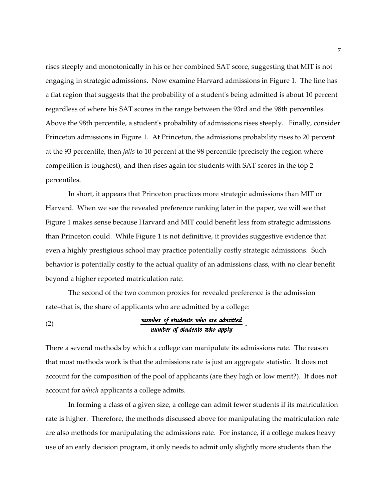rises steeply and monotonically in his or her combined SAT score, suggesting that MIT is not engaging in strategic admissions. Now examine Harvard admissions in Figure 1. The line has a flat region that suggests that the probability of a student's being admitted is about 10 percent regardless of where his SAT scores in the range between the 93rd and the 98th percentiles. Above the 98th percentile, a student's probability of admissions rises steeply. Finally, consider Princeton admissions in Figure 1. At Princeton, the admissions probability rises to 20 percent at the 93 percentile, then *falls* to 10 percent at the 98 percentile (precisely the region where competition is toughest), and then rises again for students with SAT scores in the top 2 percentiles.

In short, it appears that Princeton practices more strategic admissions than MIT or Harvard. When we see the revealed preference ranking later in the paper, we will see that Figure 1 makes sense because Harvard and MIT could benefit less from strategic admissions than Princeton could. While Figure 1 is not definitive, it provides suggestive evidence that even a highly prestigious school may practice potentially costly strategic admissions. Such behavior is potentially costly to the actual quality of an admissions class, with no clear benefit beyond a higher reported matriculation rate.

The second of the two common proxies for revealed preference is the admission rate–that is, the share of applicants who are admitted by a college:

(2)

There a several methods by which a college can manipulate its admissions rate. The reason that most methods work is that the admissions rate is just an aggregate statistic. It does not account for the composition of the pool of applicants (are they high or low merit?). It does not account for *which* applicants a college admits.

In forming a class of a given size, a college can admit fewer students if its matriculation rate is higher. Therefore, the methods discussed above for manipulating the matriculation rate are also methods for manipulating the admissions rate. For instance, if a college makes heavy use of an early decision program, it only needs to admit only slightly more students than the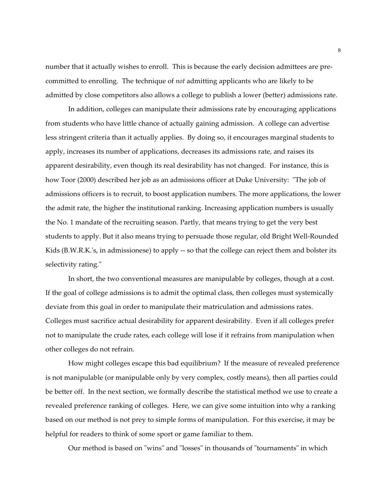number that it actually wishes to enroll. This is because the early decision admittees are precommitted to enrolling. The technique of *not* admitting applicants who are likely to be admitted by close competitors also allows a college to publish a lower (better) admissions rate.

In addition, colleges can manipulate their admissions rate by encouraging applications from students who have little chance of actually gaining admission. A college can advertise less stringent criteria than it actually applies. By doing so, it encourages marginal students to apply, increases its number of applications, decreases its admissions rate, and raises its apparent desirability, even though its real desirability has not changed. For instance, this is how Toor (2000) described her job as an admissions officer at Duke University: "The job of admissions officers is to recruit, to boost application numbers. The more applications, the lower the admit rate, the higher the institutional ranking. Increasing application numbers is usually the No. 1 mandate of the recruiting season. Partly, that means trying to get the very best students to apply. But it also means trying to persuade those regular, old Bright Well-Rounded Kids (B.W.R.K.'s, in admissionese) to apply -- so that the college can reject them and bolster its selectivity rating."

In short, the two conventional measures are manipulable by colleges, though at a cost. If the goal of college admissions is to admit the optimal class, then colleges must systemically deviate from this goal in order to manipulate their matriculation and admissions rates. Colleges must sacrifice actual desirability for apparent desirability. Even if all colleges prefer not to manipulate the crude rates, each college will lose if it refrains from manipulation when other colleges do not refrain.

How might colleges escape this bad equilibrium? If the measure of revealed preference is not manipulable (or manipulable only by very complex, costly means), then all parties could be better off. In the next section, we formally describe the statistical method we use to create a revealed preference ranking of colleges. Here, we can give some intuition into why a ranking based on our method is not prey to simple forms of manipulation. For this exercise, it may be helpful for readers to think of some sport or game familiar to them.

Our method is based on "wins" and "losses" in thousands of "tournaments" in which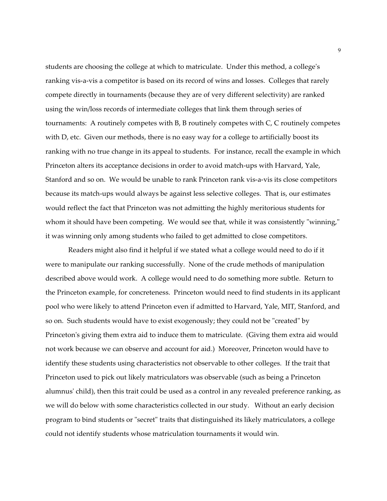students are choosing the college at which to matriculate. Under this method, a college's ranking vis-a-vis a competitor is based on its record of wins and losses. Colleges that rarely compete directly in tournaments (because they are of very different selectivity) are ranked using the win/loss records of intermediate colleges that link them through series of tournaments: A routinely competes with B, B routinely competes with C, C routinely competes with D, etc. Given our methods, there is no easy way for a college to artificially boost its ranking with no true change in its appeal to students. For instance, recall the example in which Princeton alters its acceptance decisions in order to avoid match-ups with Harvard, Yale, Stanford and so on. We would be unable to rank Princeton rank vis-a-vis its close competitors because its match-ups would always be against less selective colleges. That is, our estimates would reflect the fact that Princeton was not admitting the highly meritorious students for whom it should have been competing. We would see that, while it was consistently "winning," it was winning only among students who failed to get admitted to close competitors.

Readers might also find it helpful if we stated what a college would need to do if it were to manipulate our ranking successfully. None of the crude methods of manipulation described above would work. A college would need to do something more subtle. Return to the Princeton example, for concreteness. Princeton would need to find students in its applicant pool who were likely to attend Princeton even if admitted to Harvard, Yale, MIT, Stanford, and so on. Such students would have to exist exogenously; they could not be "created" by Princeton's giving them extra aid to induce them to matriculate. (Giving them extra aid would not work because we can observe and account for aid.) Moreover, Princeton would have to identify these students using characteristics not observable to other colleges. If the trait that Princeton used to pick out likely matriculators was observable (such as being a Princeton alumnus' child), then this trait could be used as a control in any revealed preference ranking, as we will do below with some characteristics collected in our study. Without an early decision program to bind students or "secret" traits that distinguished its likely matriculators, a college could not identify students whose matriculation tournaments it would win.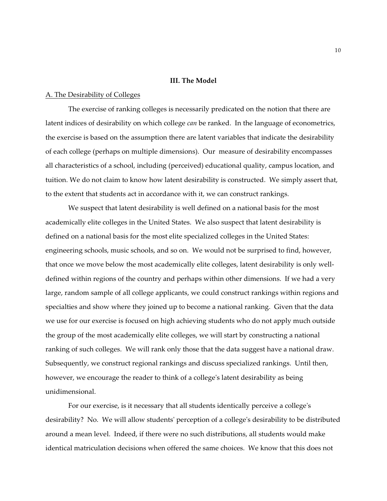## **III. The Model**

### A. The Desirability of Colleges

The exercise of ranking colleges is necessarily predicated on the notion that there are latent indices of desirability on which college *can* be ranked. In the language of econometrics, the exercise is based on the assumption there are latent variables that indicate the desirability of each college (perhaps on multiple dimensions). Our measure of desirability encompasses all characteristics of a school, including (perceived) educational quality, campus location, and tuition. We do not claim to know how latent desirability is constructed. We simply assert that, to the extent that students act in accordance with it, we can construct rankings.

We suspect that latent desirability is well defined on a national basis for the most academically elite colleges in the United States. We also suspect that latent desirability is defined on a national basis for the most elite specialized colleges in the United States: engineering schools, music schools, and so on. We would not be surprised to find, however, that once we move below the most academically elite colleges, latent desirability is only welldefined within regions of the country and perhaps within other dimensions. If we had a very large, random sample of all college applicants, we could construct rankings within regions and specialties and show where they joined up to become a national ranking. Given that the data we use for our exercise is focused on high achieving students who do not apply much outside the group of the most academically elite colleges, we will start by constructing a national ranking of such colleges. We will rank only those that the data suggest have a national draw. Subsequently, we construct regional rankings and discuss specialized rankings. Until then, however, we encourage the reader to think of a college's latent desirability as being unidimensional.

For our exercise, is it necessary that all students identically perceive a college's desirability? No. We will allow students' perception of a college's desirability to be distributed around a mean level. Indeed, if there were no such distributions, all students would make identical matriculation decisions when offered the same choices. We know that this does not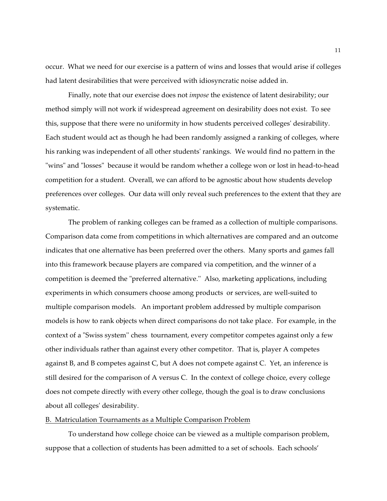occur. What we need for our exercise is a pattern of wins and losses that would arise if colleges had latent desirabilities that were perceived with idiosyncratic noise added in.

Finally, note that our exercise does not *impose* the existence of latent desirability; our method simply will not work if widespread agreement on desirability does not exist. To see this, suppose that there were no uniformity in how students perceived colleges' desirability. Each student would act as though he had been randomly assigned a ranking of colleges, where his ranking was independent of all other students' rankings. We would find no pattern in the "wins" and "losses" because it would be random whether a college won or lost in head-to-head competition for a student. Overall, we can afford to be agnostic about how students develop preferences over colleges. Our data will only reveal such preferences to the extent that they are systematic.

The problem of ranking colleges can be framed as a collection of multiple comparisons. Comparison data come from competitions in which alternatives are compared and an outcome indicates that one alternative has been preferred over the others. Many sports and games fall into this framework because players are compared via competition, and the winner of a competition is deemed the "preferred alternative.'' Also, marketing applications, including experiments in which consumers choose among products or services, are well-suited to multiple comparison models. An important problem addressed by multiple comparison models is how to rank objects when direct comparisons do not take place. For example, in the context of a "Swiss system'' chess tournament, every competitor competes against only a few other individuals rather than against every other competitor. That is, player A competes against B, and B competes against C, but A does not compete against C. Yet, an inference is still desired for the comparison of A versus C. In the context of college choice, every college does not compete directly with every other college, though the goal is to draw conclusions about all colleges' desirability.

#### B. Matriculation Tournaments as a Multiple Comparison Problem

To understand how college choice can be viewed as a multiple comparison problem, suppose that a collection of students has been admitted to a set of schools. Each schools'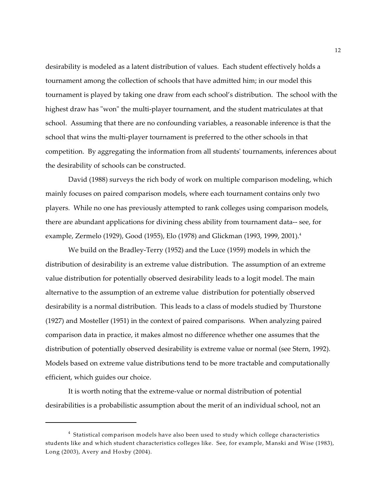desirability is modeled as a latent distribution of values. Each student effectively holds a tournament among the collection of schools that have admitted him; in our model this tournament is played by taking one draw from each school's distribution. The school with the highest draw has "won" the multi-player tournament, and the student matriculates at that school. Assuming that there are no confounding variables, a reasonable inference is that the school that wins the multi-player tournament is preferred to the other schools in that competition. By aggregating the information from all students' tournaments, inferences about the desirability of schools can be constructed.

David (1988) surveys the rich body of work on multiple comparison modeling, which mainly focuses on paired comparison models, where each tournament contains only two players. While no one has previously attempted to rank colleges using comparison models, there are abundant applications for divining chess ability from tournament data-- see, for example, Zermelo (1929), Good (1955), Elo (1978) and Glickman (1993, 1999, 2001). 4

We build on the Bradley-Terry (1952) and the Luce (1959) models in which the distribution of desirability is an extreme value distribution. The assumption of an extreme value distribution for potentially observed desirability leads to a logit model. The main alternative to the assumption of an extreme value distribution for potentially observed desirability is a normal distribution. This leads to a class of models studied by Thurstone (1927) and Mosteller (1951) in the context of paired comparisons. When analyzing paired comparison data in practice, it makes almost no difference whether one assumes that the distribution of potentially observed desirability is extreme value or normal (see Stern, 1992). Models based on extreme value distributions tend to be more tractable and computationally efficient, which guides our choice.

It is worth noting that the extreme-value or normal distribution of potential desirabilities is a probabilistic assumption about the merit of an individual school, not an

 $^4$  Statistical comparison models have also been used to study which college characteristics students like and which student characteristics colleges like. See, for example, Manski and Wise (1983), Long (2003), Avery and Hoxby (2004).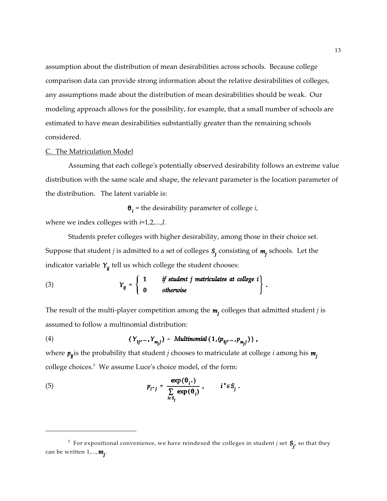assumption about the distribution of mean desirabilities across schools. Because college comparison data can provide strong information about the relative desirabilities of colleges, any assumptions made about the distribution of mean desirabilities should be weak. Our modeling approach allows for the possibility, for example, that a small number of schools are estimated to have mean desirabilities substantially greater than the remaining schools considered.

### C. The Matriculation Model

Assuming that each college's potentially observed desirability follows an extreme value distribution with the same scale and shape, the relevant parameter is the location parameter of the distribution. The latent variable is:

 $\theta_i$  = the desirability parameter of college *i*,

where we index colleges with *i*=1,2,...,*I.*

Students prefer colleges with higher desirability, among those in their choice set. Suppose that student *j* is admitted to a set of colleges  $S_i$ , consisting of  $m_i$ , schools. Let the indicator variable  $Y_{ij}$  tell us which college the student chooses:

(3) 
$$
Y_{ij} = \begin{cases} 1 & \text{if student } j \text{ matriculates at college } i \\ 0 & \text{otherwise} \end{cases}.
$$

The result of the multi-player competition among the  $m<sub>j</sub>$  colleges that admitted student *j* is assumed to follow a multinomial distribution:

(4) 
$$
(Y_{1j},...,Y_{m_jj}) \sim Multinomial(1,(p_{1j},...,p_{m_jj}))
$$

where  $p_{ij}$  is the probability that student *j* chooses to matriculate at college *i* among his  $m_j$ college choices.<sup>5</sup> We assume Luce's choice model, of the form:

(5) 
$$
p_{i^*j} = \frac{\exp(\theta_{i^*})}{\sum\limits_{i \in S_j} \exp(\theta_i)}, \qquad i^* \in S_j.
$$

<sup>&</sup>lt;sup>5</sup> For expositional convenience, we have reindexed the colleges in student *j* set  $S_i$ , so that they can be written  $1, ..., m_j$ .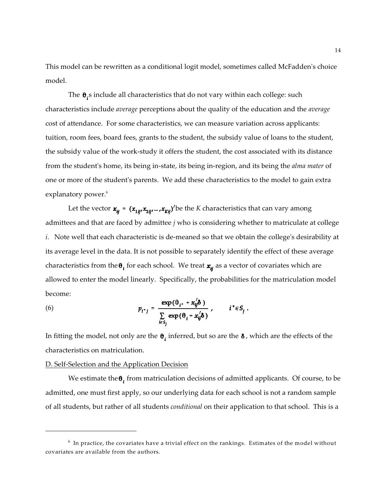This model can be rewritten as a conditional logit model, sometimes called McFadden's choice model.

The  $\theta_i$ s include all characteristics that do not vary within each college: such characteristics include *average* perceptions about the quality of the education and the *average* cost of attendance. For some characteristics, we can measure variation across applicants: tuition, room fees, board fees, grants to the student, the subsidy value of loans to the student, the subsidy value of the work-study it offers the student, the cost associated with its distance from the student's home, its being in-state, its being in-region, and its being the *alma mater* of one or more of the student's parents. We add these characteristics to the model to gain extra explanatory power.<sup>6</sup>

Let the vector  $x_{ii} = (x_{1ii}, x_{2ii}, ..., x_{Ki})$  be the *K* characteristics that can vary among admittees and that are faced by admittee *j* who is considering whether to matriculate at college *i*. Note well that each characteristic is de-meaned so that we obtain the college's desirability at its average level in the data. It is not possible to separately identify the effect of these average characteristics from the  $\theta_i$  for each school. We treat  $x_{ii}$  as a vector of covariates which are allowed to enter the model linearly. Specifically, the probabilities for the matriculation model become:

(6) 
$$
p_{i^*j} = \frac{\exp(\theta_{i^*} + x_{ij}^j \delta)}{\sum\limits_{i \in S_j} \exp(\theta_i + x_{ij}^j \delta)}, \qquad i^* \in S_j.
$$

In fitting the model, not only are the  $\theta_i$  inferred, but so are the  $\delta$ , which are the effects of the characteristics on matriculation.

### D. Self-Selection and the Application Decision

We estimate the  $\theta$ , from matriculation decisions of admitted applicants. Of course, to be admitted, one must first apply, so our underlying data for each school is not a random sample of all students, but rather of all students *conditional* on their application to that school. This is a

 $6\,$  In practice, the covariates have a trivial effect on the rankings. Estimates of the model without covariates are available from the authors.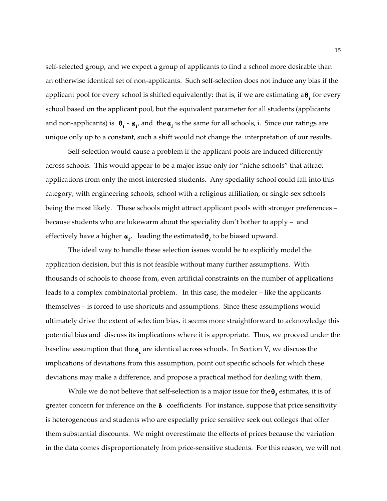self-selected group, and we expect a group of applicants to find a school more desirable than an otherwise identical set of non-applicants. Such self-selection does not induce any bias if the applicant pool for every school is shifted equivalently: that is, if we are estimating a $\theta_i$  for every school based on the applicant pool, but the equivalent parameter for all students (applicants and non-applicants) is  $\theta_i$  -  $\alpha_i$ , and the  $\alpha_i$  is the same for all schools, i. Since our ratings are unique only up to a constant, such a shift would not change the interpretation of our results.

Self-selection would cause a problem if the applicant pools are induced differently across schools. This would appear to be a major issue only for "niche schools" that attract applications from only the most interested students. Any speciality school could fall into this category, with engineering schools, school with a religious affiliation, or single-sex schools being the most likely. These schools might attract applicant pools with stronger preferences – because students who are lukewarm about the speciality don't bother to apply – and effectively have a higher  $\alpha_{i}$ , leading the estimated  $\theta_i$ , to be biased upward.

The ideal way to handle these selection issues would be to explicitly model the application decision, but this is not feasible without many further assumptions. With thousands of schools to choose from, even artificial constraints on the number of applications leads to a complex combinatorial problem. In this case, the modeler – like the applicants themselves – is forced to use shortcuts and assumptions. Since these assumptions would ultimately drive the extent of selection bias, it seems more straightforward to acknowledge this potential bias and discuss its implications where it is appropriate. Thus, we proceed under the baseline assumption that the  $\alpha$ , are identical across schools. In Section V, we discuss the implications of deviations from this assumption, point out specific schools for which these deviations may make a difference, and propose a practical method for dealing with them.

While we do not believe that self-selection is a major issue for the  $\theta_i$  estimates, it is of greater concern for inference on the  $\delta$  coefficients For instance, suppose that price sensitivity is heterogeneous and students who are especially price sensitive seek out colleges that offer them substantial discounts. We might overestimate the effects of prices because the variation in the data comes disproportionately from price-sensitive students. For this reason, we will not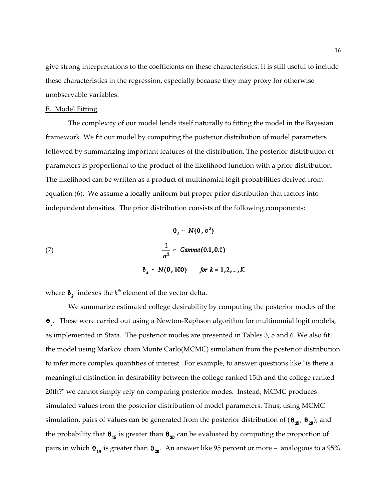give strong interpretations to the coefficients on these characteristics. It is still useful to include these characteristics in the regression, especially because they may proxy for otherwise unobservable variables.

### E. Model Fitting

The complexity of our model lends itself naturally to fitting the model in the Bayesian framework. We fit our model by computing the posterior distribution of model parameters followed by summarizing important features of the distribution. The posterior distribution of parameters is proportional to the product of the likelihood function with a prior distribution. The likelihood can be written as a product of multinomial logit probabilities derived from equation (6). We assume a locally uniform but proper prior distribution that factors into independent densities. The prior distribution consists of the following components:

(7) 
$$
\frac{1}{\sigma^2} \sim N(0, \sigma^2)
$$
  
 $\frac{1}{\sigma^2} \sim \text{Gamma}(0.1, 0.1)$   
 $\delta_k \sim N(0, 100) \quad \text{for } k = 1, 2, ..., K$ 

where  $\delta_k$  indexes the  $k^{th}$  element of the vector delta.

We summarize estimated college desirability by computing the posterior modes of the  $\theta$ . These were carried out using a Newton-Raphson algorithm for multinomial logit models, as implemented in Stata. The posterior modes are presented in Tables 3, 5 and 6. We also fit the model using Markov chain Monte Carlo(MCMC) simulation from the posterior distribution to infer more complex quantities of interest. For example, to answer questions like "is there a meaningful distinction in desirability between the college ranked 15th and the college ranked 20th?" we cannot simply rely on comparing posterior modes. Instead, MCMC produces simulated values from the posterior distribution of model parameters. Thus, using MCMC simulation, pairs of values can be generated from the posterior distribution of  $(\theta_{15}, \theta_{20})$ , and the probability that  $\theta_{15}$  is greater than  $\theta_{20}$  can be evaluated by computing the proportion of pairs in which  $\theta_{15}$  is greater than  $\theta_{20}$ . An answer like 95 percent or more – analogous to a 95%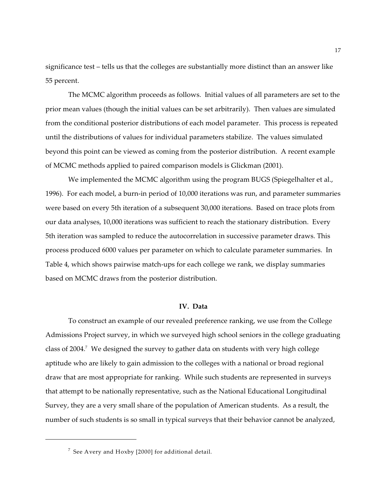significance test – tells us that the colleges are substantially more distinct than an answer like 55 percent.

The MCMC algorithm proceeds as follows. Initial values of all parameters are set to the prior mean values (though the initial values can be set arbitrarily). Then values are simulated from the conditional posterior distributions of each model parameter. This process is repeated until the distributions of values for individual parameters stabilize. The values simulated beyond this point can be viewed as coming from the posterior distribution. A recent example of MCMC methods applied to paired comparison models is Glickman (2001).

We implemented the MCMC algorithm using the program BUGS (Spiegelhalter et al., 1996). For each model, a burn-in period of 10,000 iterations was run, and parameter summaries were based on every 5th iteration of a subsequent 30,000 iterations. Based on trace plots from our data analyses, 10,000 iterations was sufficient to reach the stationary distribution. Every 5th iteration was sampled to reduce the autocorrelation in successive parameter draws. This process produced 6000 values per parameter on which to calculate parameter summaries. In Table 4, which shows pairwise match-ups for each college we rank, we display summaries based on MCMC draws from the posterior distribution.

## **IV. Data**

To construct an example of our revealed preference ranking, we use from the College Admissions Project survey, in which we surveyed high school seniors in the college graduating class of 2004.<sup>7</sup> We designed the survey to gather data on students with very high college aptitude who are likely to gain admission to the colleges with a national or broad regional draw that are most appropriate for ranking. While such students are represented in surveys that attempt to be nationally representative, such as the National Educational Longitudinal Survey, they are a very small share of the population of American students. As a result, the number of such students is so small in typical surveys that their behavior cannot be analyzed,

 $^7$  See Avery and Hoxby [2000] for additional detail.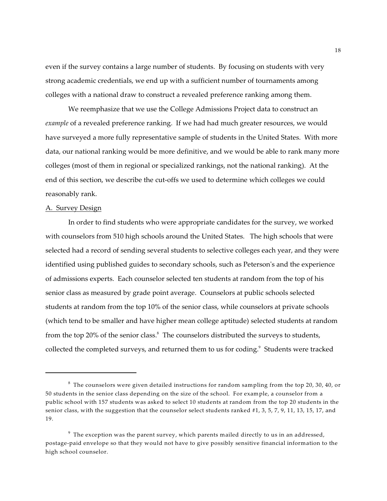even if the survey contains a large number of students. By focusing on students with very strong academic credentials, we end up with a sufficient number of tournaments among colleges with a national draw to construct a revealed preference ranking among them.

We reemphasize that we use the College Admissions Project data to construct an *example* of a revealed preference ranking. If we had had much greater resources, we would have surveyed a more fully representative sample of students in the United States. With more data, our national ranking would be more definitive, and we would be able to rank many more colleges (most of them in regional or specialized rankings, not the national ranking). At the end of this section, we describe the cut-offs we used to determine which colleges we could reasonably rank.

## A. Survey Design

In order to find students who were appropriate candidates for the survey, we worked with counselors from 510 high schools around the United States. The high schools that were selected had a record of sending several students to selective colleges each year, and they were identified using published guides to secondary schools, such as Peterson's and the experience of admissions experts. Each counselor selected ten students at random from the top of his senior class as measured by grade point average. Counselors at public schools selected students at random from the top 10% of the senior class, while counselors at private schools (which tend to be smaller and have higher mean college aptitude) selected students at random from the top 20% of the senior class.<sup>8</sup> The counselors distributed the surveys to students, collected the completed surveys, and returned them to us for coding.<sup>9</sup> Students were tracked

 $8$  The counselors were given detailed instructions for random sampling from the top 20, 30, 40, or 50 students in the senior class depending on the size of the school. For example, a counselor from a public school with 157 students was asked to select 10 students at random from the top 20 students in the senior class, with the suggestion that the counselor select students ranked #1, 3, 5, 7, 9, 11, 13, 15, 17, and 19.

 $9$  The exception was the parent survey, which parents mailed directly to us in an addressed, postage-paid envelope so that they would not have to give possibly sensitive financial information to the high school counselor.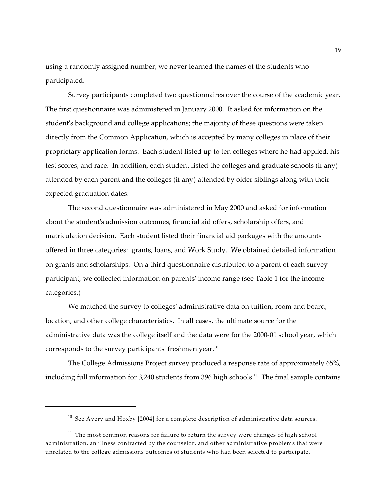using a randomly assigned number; we never learned the names of the students who participated.

Survey participants completed two questionnaires over the course of the academic year. The first questionnaire was administered in January 2000. It asked for information on the student's background and college applications; the majority of these questions were taken directly from the Common Application, which is accepted by many colleges in place of their proprietary application forms. Each student listed up to ten colleges where he had applied, his test scores, and race. In addition, each student listed the colleges and graduate schools (if any) attended by each parent and the colleges (if any) attended by older siblings along with their expected graduation dates.

The second questionnaire was administered in May 2000 and asked for information about the student's admission outcomes, financial aid offers, scholarship offers, and matriculation decision. Each student listed their financial aid packages with the amounts offered in three categories: grants, loans, and Work Study. We obtained detailed information on grants and scholarships. On a third questionnaire distributed to a parent of each survey participant, we collected information on parents' income range (see Table 1 for the income categories.)

We matched the survey to colleges' administrative data on tuition, room and board, location, and other college characteristics. In all cases, the ultimate source for the administrative data was the college itself and the data were for the 2000-01 school year, which corresponds to the survey participants' freshmen year.<sup>10</sup>

The College Admissions Project survey produced a response rate of approximately 65%, including full information for 3,240 students from 396 high schools.<sup>11</sup> The final sample contains

 $^{10}\,$  See Avery and Hoxby [2004] for a complete description of administrative data sources.

 $^{\rm 11}$  The most common reasons for failure to return the survey were changes of high school administration, an illness contracted by the counselor, and other administrative problems that were unrelated to the college admissions outcomes of students who had been selected to participate.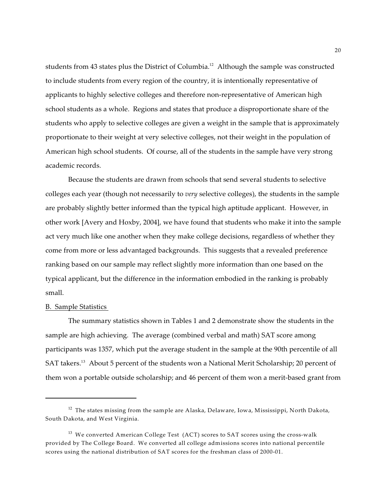students from 43 states plus the District of Columbia.<sup>12</sup> Although the sample was constructed to include students from every region of the country, it is intentionally representative of applicants to highly selective colleges and therefore non-representative of American high school students as a whole. Regions and states that produce a disproportionate share of the students who apply to selective colleges are given a weight in the sample that is approximately proportionate to their weight at very selective colleges, not their weight in the population of American high school students. Of course, all of the students in the sample have very strong academic records.

Because the students are drawn from schools that send several students to selective colleges each year (though not necessarily to *very* selective colleges), the students in the sample are probably slightly better informed than the typical high aptitude applicant. However, in other work [Avery and Hoxby, 2004], we have found that students who make it into the sample act very much like one another when they make college decisions, regardless of whether they come from more or less advantaged backgrounds. This suggests that a revealed preference ranking based on our sample may reflect slightly more information than one based on the typical applicant, but the difference in the information embodied in the ranking is probably small.

#### B. Sample Statistics

The summary statistics shown in Tables 1 and 2 demonstrate show the students in the sample are high achieving. The average (combined verbal and math) SAT score among participants was 1357, which put the average student in the sample at the 90th percentile of all SAT takers.<sup>13</sup> About 5 percent of the students won a National Merit Scholarship; 20 percent of them won a portable outside scholarship; and 46 percent of them won a merit-based grant from

 $^{\text{12}}$  The states missing from the sample are Alaska, Delaware, Iowa, Mississippi, North Dakota, South Dakota, and West Virginia.

 $13$  We converted American College Test (ACT) scores to SAT scores using the cross-walk provided by The College Board. We converted all college admissions scores into national percentile scores using the national distribution of SAT scores for the freshman class of 2000-01.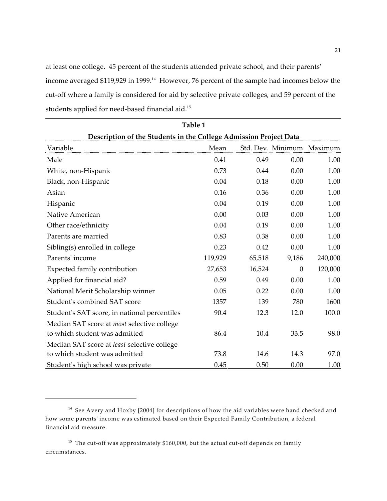at least one college. 45 percent of the students attended private school, and their parents' income averaged \$119,929 in 1999.<sup>14</sup> However, 76 percent of the sample had incomes below the cut-off where a family is considered for aid by selective private colleges, and 59 percent of the students applied for need-based financial aid. $^{15}$ 

| Table 1                                                           |         |        |                           |         |  |  |  |  |  |  |  |  |
|-------------------------------------------------------------------|---------|--------|---------------------------|---------|--|--|--|--|--|--|--|--|
| Description of the Students in the College Admission Project Data |         |        |                           |         |  |  |  |  |  |  |  |  |
| Variable                                                          | Mean    |        | Std. Dev. Minimum Maximum |         |  |  |  |  |  |  |  |  |
| Male                                                              | 0.41    | 0.49   | 0.00                      | 1.00    |  |  |  |  |  |  |  |  |
| White, non-Hispanic                                               | 0.73    | 0.44   | 0.00                      | 1.00    |  |  |  |  |  |  |  |  |
| Black, non-Hispanic                                               | 0.04    | 0.18   | 0.00                      | 1.00    |  |  |  |  |  |  |  |  |
| Asian                                                             | 0.16    | 0.36   | 0.00                      | 1.00    |  |  |  |  |  |  |  |  |
| Hispanic                                                          | 0.04    | 0.19   | 0.00                      | 1.00    |  |  |  |  |  |  |  |  |
| Native American                                                   | 0.00    | 0.03   | 0.00                      | 1.00    |  |  |  |  |  |  |  |  |
| Other race/ethnicity                                              | 0.04    | 0.19   | 0.00                      | 1.00    |  |  |  |  |  |  |  |  |
| Parents are married                                               | 0.83    | 0.38   | 0.00                      | 1.00    |  |  |  |  |  |  |  |  |
| Sibling(s) enrolled in college                                    | 0.23    | 0.42   | 0.00                      | 1.00    |  |  |  |  |  |  |  |  |
| Parents' income                                                   | 119,929 | 65,518 | 9,186                     | 240,000 |  |  |  |  |  |  |  |  |
| Expected family contribution                                      | 27,653  | 16,524 | $\boldsymbol{0}$          | 120,000 |  |  |  |  |  |  |  |  |
| Applied for financial aid?                                        | 0.59    | 0.49   | 0.00                      | 1.00    |  |  |  |  |  |  |  |  |
| National Merit Scholarship winner                                 | 0.05    | 0.22   | 0.00                      | 1.00    |  |  |  |  |  |  |  |  |
| Student's combined SAT score                                      | 1357    | 139    | 780                       | 1600    |  |  |  |  |  |  |  |  |
| Student's SAT score, in national percentiles                      | 90.4    | 12.3   | 12.0                      | 100.0   |  |  |  |  |  |  |  |  |
| Median SAT score at <i>most</i> selective college                 |         |        |                           |         |  |  |  |  |  |  |  |  |
| to which student was admitted                                     | 86.4    | 10.4   | 33.5                      | 98.0    |  |  |  |  |  |  |  |  |
| Median SAT score at least selective college                       |         |        |                           |         |  |  |  |  |  |  |  |  |
| to which student was admitted                                     | 73.8    | 14.6   | 14.3                      | 97.0    |  |  |  |  |  |  |  |  |
| Student's high school was private                                 | 0.45    | 0.50   | 0.00                      | 1.00    |  |  |  |  |  |  |  |  |

 $14$  See Avery and Hoxby [2004] for descriptions of how the aid variables were hand checked and how some parents' income was estimated based on their Expected Family Contribution, a federal financial aid measure.

 $15$  The cut-off was approximately \$160,000, but the actual cut-off depends on family circumstances.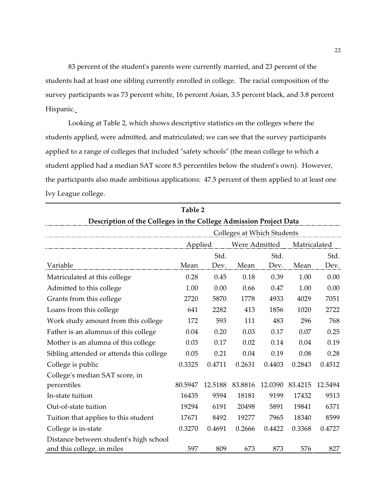83 percent of the student's parents were currently married, and 23 percent of the students had at least one sibling currently enrolled in college. The racial composition of the survey participants was 73 percent white, 16 percent Asian, 3.5 percent black, and 3.8 percent Hispanic.

Looking at Table 2, which shows descriptive statistics on the colleges where the students applied, were admitted, and matriculated; we can see that the survey participants applied to a range of colleges that included "safety schools" (the mean college to which a student applied had a median SAT score 8.5 percentiles below the student's own). However, the participants also made ambitious applications: 47.5 percent of them applied to at least one Ivy League college.

|                                                                   | Table 2 |         |                            |         |              |         |  |  |  |  |  |  |
|-------------------------------------------------------------------|---------|---------|----------------------------|---------|--------------|---------|--|--|--|--|--|--|
| Description of the Colleges in the College Admission Project Data |         |         |                            |         |              |         |  |  |  |  |  |  |
|                                                                   |         |         | Colleges at Which Students |         |              |         |  |  |  |  |  |  |
|                                                                   | Applied |         | Were Admitted              |         | Matricalated |         |  |  |  |  |  |  |
|                                                                   |         | Std.    |                            | Std.    |              | Std.    |  |  |  |  |  |  |
| Variable                                                          | Mean    | Dev.    | Mean                       | Dev.    | Mean         | Dev.    |  |  |  |  |  |  |
| Matriculated at this college                                      | 0.28    | 0.45    | 0.18                       | 0.39    | 1.00         | 0.00    |  |  |  |  |  |  |
| Admitted to this college                                          | 1.00    | 0.00    | 0.66                       | 0.47    | 1.00         | 0.00    |  |  |  |  |  |  |
| Grants from this college                                          | 2720    | 5870    | 1778                       | 4933    | 4029         | 7051    |  |  |  |  |  |  |
| Loans from this college                                           | 641     | 2282    | 413                        | 1856    | 1020         | 2722    |  |  |  |  |  |  |
| Work study amount from this college                               | 172     | 593     | 111                        | 483     | 296          | 768     |  |  |  |  |  |  |
| Father is an alumnus of this college                              | 0.04    | 0.20    | 0.03                       | 0.17    | 0.07         | 0.25    |  |  |  |  |  |  |
| Mother is an alumna of this college                               | 0.03    | 0.17    | 0.02                       | 0.14    | 0.04         | 0.19    |  |  |  |  |  |  |
| Sibling attended or attends this college                          | 0.05    | 0.21    | 0.04                       | 0.19    | 0.08         | 0.28    |  |  |  |  |  |  |
| College is public                                                 | 0.3325  | 0.4711  | 0.2631                     | 0.4403  | 0.2843       | 0.4512  |  |  |  |  |  |  |
| College's median SAT score, in                                    |         |         |                            |         |              |         |  |  |  |  |  |  |
| percentiles                                                       | 80.5947 | 12.5188 | 83.8816                    | 12.0390 | 83.4215      | 12.5494 |  |  |  |  |  |  |
| In-state tuition                                                  | 16435   | 9594    | 18181                      | 9199    | 17432        | 9513    |  |  |  |  |  |  |
| Out-of-state tuition                                              | 19294   | 6191    | 20498                      | 5891    | 19841        | 6371    |  |  |  |  |  |  |
| Tuition that applies to this student                              | 17671   | 8492    | 19277                      | 7965    | 18340        | 8599    |  |  |  |  |  |  |
| College is in-state                                               | 0.3270  | 0.4691  | 0.2666                     | 0.4422  | 0.3368       | 0.4727  |  |  |  |  |  |  |
| Distance between student's high school                            |         |         |                            |         |              |         |  |  |  |  |  |  |
| and this college, in miles                                        | 597     | 809     | 673                        | 873     | 576          | 827     |  |  |  |  |  |  |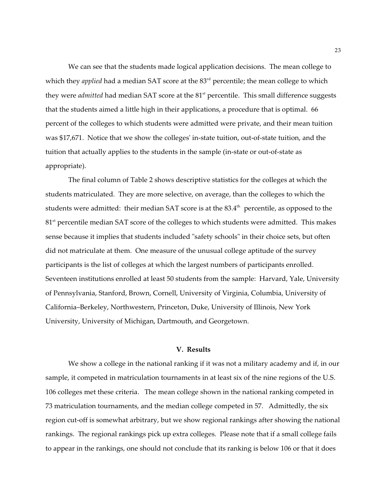We can see that the students made logical application decisions. The mean college to which they *applied* had a median SAT score at the 83<sup>rd</sup> percentile; the mean college to which they were *admitted* had median SAT score at the 81<sup>st</sup> percentile. This small difference suggests that the students aimed a little high in their applications, a procedure that is optimal. 66 percent of the colleges to which students were admitted were private, and their mean tuition was \$17,671. Notice that we show the colleges' in-state tuition, out-of-state tuition, and the tuition that actually applies to the students in the sample (in-state or out-of-state as appropriate).

The final column of Table 2 shows descriptive statistics for the colleges at which the students matriculated. They are more selective, on average, than the colleges to which the students were admitted: their median SAT score is at the  $83.4<sup>th</sup>$  percentile, as opposed to the  $81<sup>st</sup>$  percentile median SAT score of the colleges to which students were admitted. This makes sense because it implies that students included "safety schools" in their choice sets, but often did not matriculate at them. One measure of the unusual college aptitude of the survey participants is the list of colleges at which the largest numbers of participants enrolled. Seventeen institutions enrolled at least 50 students from the sample: Harvard, Yale, University of Pennsylvania, Stanford, Brown, Cornell, University of Virginia, Columbia, University of California–Berkeley, Northwestern, Princeton, Duke, University of Illinois, New York University, University of Michigan, Dartmouth, and Georgetown.

### **V. Results**

We show a college in the national ranking if it was not a military academy and if, in our sample, it competed in matriculation tournaments in at least six of the nine regions of the U.S. 106 colleges met these criteria. The mean college shown in the national ranking competed in 73 matriculation tournaments, and the median college competed in 57. Admittedly, the six region cut-off is somewhat arbitrary, but we show regional rankings after showing the national rankings. The regional rankings pick up extra colleges. Please note that if a small college fails to appear in the rankings, one should not conclude that its ranking is below 106 or that it does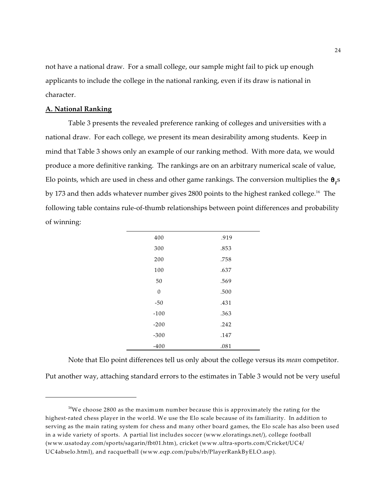not have a national draw. For a small college, our sample might fail to pick up enough applicants to include the college in the national ranking, even if its draw is national in character.

## **A. National Ranking**

Table 3 presents the revealed preference ranking of colleges and universities with a national draw. For each college, we present its mean desirability among students. Keep in mind that Table 3 shows only an example of our ranking method. With more data, we would produce a more definitive ranking. The rankings are on an arbitrary numerical scale of value, Elo points, which are used in chess and other game rankings. The conversion multiplies the  $\theta$ . by 173 and then adds whatever number gives 2800 points to the highest ranked college.<sup>16</sup> The following table contains rule-of-thumb relationships between point differences and probability of winning:

| 400<br>.919<br>300<br>.853<br>200<br>.758<br>100<br>.637<br>50<br>.569<br>$\mathbf{0}$<br>.500<br>$-50$<br>.431<br>$-100$<br>.363<br>$-200$<br>.242<br>$-300$<br>.147<br>$-400$<br>.081 |  |
|-----------------------------------------------------------------------------------------------------------------------------------------------------------------------------------------|--|
|                                                                                                                                                                                         |  |
|                                                                                                                                                                                         |  |
|                                                                                                                                                                                         |  |
|                                                                                                                                                                                         |  |
|                                                                                                                                                                                         |  |
|                                                                                                                                                                                         |  |
|                                                                                                                                                                                         |  |
|                                                                                                                                                                                         |  |
|                                                                                                                                                                                         |  |
|                                                                                                                                                                                         |  |
|                                                                                                                                                                                         |  |

Note that Elo point differences tell us only about the college versus its *mean* competitor.

Put another way, attaching standard errors to the estimates in Table 3 would not be very useful

<sup>&</sup>lt;sup>16</sup>We choose 2800 as the maximum number because this is approximately the rating for the highest-rated chess player in the world. We use the Elo scale because of its familiarity. In addition to serving as the main rating system for chess and many other board games, the Elo scale has also been used in a wide variety of sports. A partial list includes soccer (www.eloratings.net/), college football (www.usatoday.com/sports/sagarin/fbt01.htm), cricket (www.ultra-sports.com/Cricket/UC4/ UC4abselo.html), and racquetball (www.eqp.com/pubs/rb/PlayerRankByELO.asp).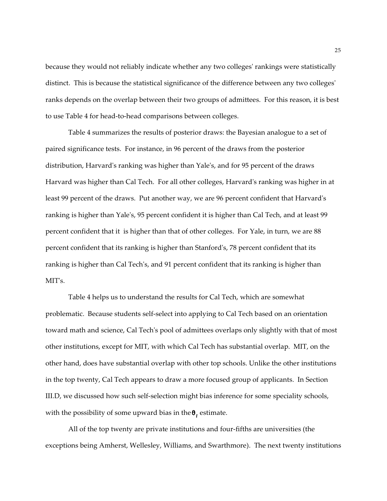because they would not reliably indicate whether any two colleges' rankings were statistically distinct. This is because the statistical significance of the difference between any two colleges' ranks depends on the overlap between their two groups of admittees. For this reason, it is best to use Table 4 for head-to-head comparisons between colleges.

Table 4 summarizes the results of posterior draws: the Bayesian analogue to a set of paired significance tests. For instance, in 96 percent of the draws from the posterior distribution, Harvard's ranking was higher than Yale's, and for 95 percent of the draws Harvard was higher than Cal Tech. For all other colleges, Harvard's ranking was higher in at least 99 percent of the draws. Put another way, we are 96 percent confident that Harvard's ranking is higher than Yale's, 95 percent confident it is higher than Cal Tech, and at least 99 percent confident that it is higher than that of other colleges. For Yale, in turn, we are 88 percent confident that its ranking is higher than Stanford's, 78 percent confident that its ranking is higher than Cal Tech's, and 91 percent confident that its ranking is higher than MIT's.

Table 4 helps us to understand the results for Cal Tech, which are somewhat problematic. Because students self-select into applying to Cal Tech based on an orientation toward math and science, Cal Tech's pool of admittees overlaps only slightly with that of most other institutions, except for MIT, with which Cal Tech has substantial overlap. MIT, on the other hand, does have substantial overlap with other top schools. Unlike the other institutions in the top twenty, Cal Tech appears to draw a more focused group of applicants. In Section III.D, we discussed how such self-selection might bias inference for some speciality schools, with the possibility of some upward bias in the  $\theta$ , estimate.

All of the top twenty are private institutions and four-fifths are universities (the exceptions being Amherst, Wellesley, Williams, and Swarthmore). The next twenty institutions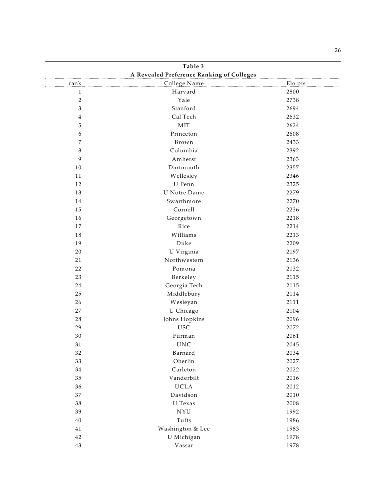|                                           | Table 3          |         |  |  |  |  |  |  |  |  |  |
|-------------------------------------------|------------------|---------|--|--|--|--|--|--|--|--|--|
| A Revealed Preference Ranking of Colleges |                  |         |  |  |  |  |  |  |  |  |  |
| rank                                      | College Name     | Elo pts |  |  |  |  |  |  |  |  |  |
| 1                                         | Harvard          | 2800    |  |  |  |  |  |  |  |  |  |
| 2                                         | Yale             | 2738    |  |  |  |  |  |  |  |  |  |
| 3                                         | Stanford         | 2694    |  |  |  |  |  |  |  |  |  |
| 4                                         | Cal Tech         | 2632    |  |  |  |  |  |  |  |  |  |
| 5                                         | MIT              | 2624    |  |  |  |  |  |  |  |  |  |
| 6                                         | Princeton        | 2608    |  |  |  |  |  |  |  |  |  |
| 7                                         | Brown            | 2433    |  |  |  |  |  |  |  |  |  |
| 8                                         | Columbia         | 2392    |  |  |  |  |  |  |  |  |  |
| 9                                         | Amherst          | 2363    |  |  |  |  |  |  |  |  |  |
| 10                                        | Dartmouth        | 2357    |  |  |  |  |  |  |  |  |  |
| 11                                        | Wellesley        | 2346    |  |  |  |  |  |  |  |  |  |
| 12                                        | U Penn           | 2325    |  |  |  |  |  |  |  |  |  |
| 13                                        | U Notre Dame     | 2279    |  |  |  |  |  |  |  |  |  |
| 14                                        | Swarthmore       | 2270    |  |  |  |  |  |  |  |  |  |
| 15                                        | Cornell          | 2236    |  |  |  |  |  |  |  |  |  |
| 16                                        | Georgetown       | 2218    |  |  |  |  |  |  |  |  |  |
| 17                                        | Rice             | 2214    |  |  |  |  |  |  |  |  |  |
| 18                                        | Williams         | 2213    |  |  |  |  |  |  |  |  |  |
| 19                                        | Duke             | 2209    |  |  |  |  |  |  |  |  |  |
| 20                                        | U Virginia       | 2197    |  |  |  |  |  |  |  |  |  |
| 21                                        | Northwestern     | 2136    |  |  |  |  |  |  |  |  |  |
| 22                                        | Pomona           | 2132    |  |  |  |  |  |  |  |  |  |
| 23                                        | Berkeley         | 2115    |  |  |  |  |  |  |  |  |  |
| 24                                        | Georgia Tech     | 2115    |  |  |  |  |  |  |  |  |  |
| 25                                        | Middlebury       | 2114    |  |  |  |  |  |  |  |  |  |
| 26                                        | Wesleyan         | 2111    |  |  |  |  |  |  |  |  |  |
| 27                                        | U Chicago        | 2104    |  |  |  |  |  |  |  |  |  |
| 28                                        | Johns Hopkins    | 2096    |  |  |  |  |  |  |  |  |  |
| 29                                        | <b>USC</b>       | 2072    |  |  |  |  |  |  |  |  |  |
| 30                                        | Furman           | 2061    |  |  |  |  |  |  |  |  |  |
| 31                                        | <b>UNC</b>       | 2045    |  |  |  |  |  |  |  |  |  |
| 32                                        | Barnard          | 2034    |  |  |  |  |  |  |  |  |  |
| 33                                        | Oberlin          | 2027    |  |  |  |  |  |  |  |  |  |
| 34                                        | Carleton         | 2022    |  |  |  |  |  |  |  |  |  |
| 35                                        | Vanderbilt       | 2016    |  |  |  |  |  |  |  |  |  |
| 36                                        | <b>UCLA</b>      | 2012    |  |  |  |  |  |  |  |  |  |
| 37                                        | Davidson         | 2010    |  |  |  |  |  |  |  |  |  |
| 38                                        | U Texas          | 2008    |  |  |  |  |  |  |  |  |  |
| 39                                        | <b>NYU</b>       | 1992    |  |  |  |  |  |  |  |  |  |
| $40\,$                                    | Tufts            | 1986    |  |  |  |  |  |  |  |  |  |
| $41\,$                                    | Washington & Lee | 1983    |  |  |  |  |  |  |  |  |  |
| 42                                        | U Michigan       | 1978    |  |  |  |  |  |  |  |  |  |
| $43\,$                                    | Vassar           | 1978    |  |  |  |  |  |  |  |  |  |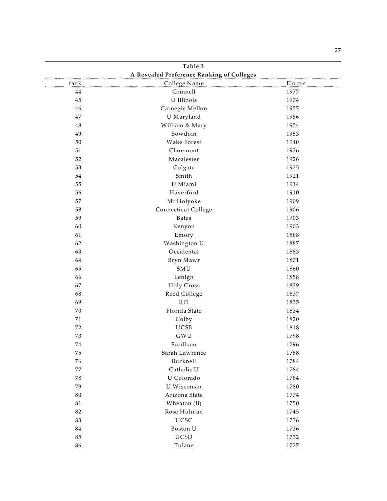|                                           | Table 3             |         |  |  |  |  |  |  |  |  |  |
|-------------------------------------------|---------------------|---------|--|--|--|--|--|--|--|--|--|
| A Revealed Preference Ranking of Colleges |                     |         |  |  |  |  |  |  |  |  |  |
| rank                                      | College Name        | Elo pts |  |  |  |  |  |  |  |  |  |
| 44                                        | Grinnell            | 1977    |  |  |  |  |  |  |  |  |  |
| 45                                        | U Illinois          | 1974    |  |  |  |  |  |  |  |  |  |
| 46                                        | Carnegie Mellon     | 1957    |  |  |  |  |  |  |  |  |  |
| 47                                        | U Maryland          | 1956    |  |  |  |  |  |  |  |  |  |
| 48                                        | William & Mary      | 1954    |  |  |  |  |  |  |  |  |  |
| 49                                        | Bowdoin             | 1953    |  |  |  |  |  |  |  |  |  |
| 50                                        | Wake Forest         | 1940    |  |  |  |  |  |  |  |  |  |
| 51                                        | Claremont           | 1936    |  |  |  |  |  |  |  |  |  |
| 52                                        | Macalester          | 1926    |  |  |  |  |  |  |  |  |  |
| 53                                        | Colgate             | 1925    |  |  |  |  |  |  |  |  |  |
| 54                                        | Smith               | 1921    |  |  |  |  |  |  |  |  |  |
| 55                                        | U Miami             | 1914    |  |  |  |  |  |  |  |  |  |
| 56                                        | Haverford           | 1910    |  |  |  |  |  |  |  |  |  |
| 57                                        | Mt Holyoke          | 1909    |  |  |  |  |  |  |  |  |  |
| 58                                        | Connecticut College | 1906    |  |  |  |  |  |  |  |  |  |
| 59                                        | <b>Bates</b>        | 1903    |  |  |  |  |  |  |  |  |  |
| 60                                        | Kenyon              | 1903    |  |  |  |  |  |  |  |  |  |
| 61                                        | Emory               | 1888    |  |  |  |  |  |  |  |  |  |
| 62                                        | Washington U        | 1887    |  |  |  |  |  |  |  |  |  |
| 63                                        | Occidental          | 1883    |  |  |  |  |  |  |  |  |  |
| 64                                        | Bryn Mawr           | 1871    |  |  |  |  |  |  |  |  |  |
| 65                                        | SMU                 | 1860    |  |  |  |  |  |  |  |  |  |
| 66                                        | Lehigh              | 1858    |  |  |  |  |  |  |  |  |  |
| 67                                        | Holy Cross          | 1839    |  |  |  |  |  |  |  |  |  |
| 68                                        | Reed College        | 1837    |  |  |  |  |  |  |  |  |  |
| 69                                        | <b>RPI</b>          | 1835    |  |  |  |  |  |  |  |  |  |
| 70                                        | Florida State       | 1834    |  |  |  |  |  |  |  |  |  |
| 71                                        | Colby               | 1820    |  |  |  |  |  |  |  |  |  |
| 72                                        | <b>UCSB</b>         | 1818    |  |  |  |  |  |  |  |  |  |
| 73                                        | GWU                 | 1798    |  |  |  |  |  |  |  |  |  |
| 74                                        | Fordham             | 1796    |  |  |  |  |  |  |  |  |  |
| 75                                        | Sarah Lawrence      | 1788    |  |  |  |  |  |  |  |  |  |
| 76                                        | Bucknell            | 1784    |  |  |  |  |  |  |  |  |  |
| 77                                        | Catholic U          | 1784    |  |  |  |  |  |  |  |  |  |
| 78                                        | U Colorado          | 1784    |  |  |  |  |  |  |  |  |  |
| 79                                        | U Wisconsin         | 1780    |  |  |  |  |  |  |  |  |  |
| 80                                        | Arizona State       | 1774    |  |  |  |  |  |  |  |  |  |
| 81                                        | Wheaton (Il)        | 1750    |  |  |  |  |  |  |  |  |  |
| 82                                        | Rose Hulman         | 1745    |  |  |  |  |  |  |  |  |  |
| 83                                        | <b>UCSC</b>         | 1736    |  |  |  |  |  |  |  |  |  |
| 84                                        | Boston U            | 1736    |  |  |  |  |  |  |  |  |  |
| 85                                        | <b>UCSD</b>         | 1732    |  |  |  |  |  |  |  |  |  |
| 86                                        | Tulane              | 1727    |  |  |  |  |  |  |  |  |  |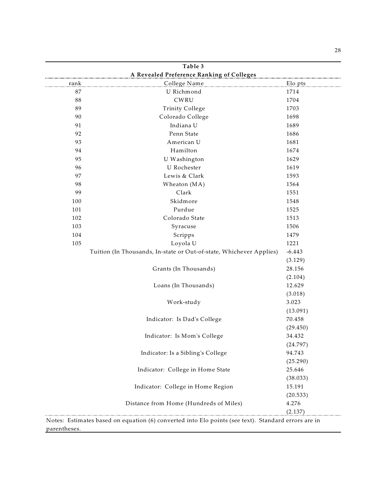|          | A Revealed Preference Ranking of Colleges                           |                    |
|----------|---------------------------------------------------------------------|--------------------|
| rank     | College Name                                                        | $E$ lo pts         |
| 87       | U Richmond<br>CWRU                                                  | 1714               |
| 88       |                                                                     | 1704               |
| 89       | <b>Trinity College</b>                                              | 1703               |
| 90       | Colorado College                                                    | 1698               |
| 91<br>92 | Indiana U<br>Penn State                                             | 1689<br>1686       |
| 93       | American U                                                          | 1681               |
| 94       | Hamilton                                                            | 1674               |
| 95       |                                                                     | 1629               |
| 96       | U Washington<br>U Rochester                                         | 1619               |
|          |                                                                     |                    |
| 97       | Lewis & Clark                                                       | 1593               |
| 98       | Wheaton (MA)                                                        | 1564               |
| 99       | Clark                                                               | 1551               |
| 100      | Skidmore                                                            | 1548               |
| 101      | Purdue<br>Colorado State                                            | 1525               |
| 102      |                                                                     | 1513               |
| 103      | Syracuse                                                            | 1506               |
| 104      | Scripps                                                             | 1479               |
| 105      | Loyola U                                                            | 1221               |
|          | Tuition (In Thousands, In-state or Out-of-state, Whichever Applies) | $-6.443$           |
|          |                                                                     | (3.129)            |
|          | Grants (In Thousands)                                               | 28.156             |
|          |                                                                     | (2.104)            |
|          | Loans (In Thousands)                                                | 12.629             |
|          |                                                                     | (3.018)            |
|          | Work-study                                                          | 3.023              |
|          |                                                                     | (13.091)<br>70.458 |
|          | Indicator: Is Dad's College                                         | (29.450)           |
|          |                                                                     | 34.432             |
|          | Indicator: Is Mom's College                                         | (24.797)           |
|          |                                                                     | 94.743             |
|          | Indicator: Is a Sibling's College                                   |                    |
|          |                                                                     | (25.290)<br>25.646 |
|          | Indicator: College in Home State                                    |                    |
|          |                                                                     | (38.033)           |
|          | Indicator: College in Home Region                                   | 15.191             |
|          |                                                                     | (20.533)           |
|          | Distance from Home (Hundreds of Miles)                              | 4.276              |
|          |                                                                     | (2.137)            |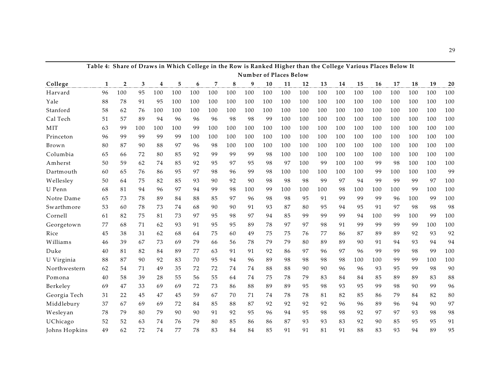|               | Table 4: Share of Draws in Which College in the Row is Ranked Higher than the College Various Places Below It |                        |     |     |     |     |     |     |     |                |     |     |                |     |     |     |     |     |     |     |
|---------------|---------------------------------------------------------------------------------------------------------------|------------------------|-----|-----|-----|-----|-----|-----|-----|----------------|-----|-----|----------------|-----|-----|-----|-----|-----|-----|-----|
|               |                                                                                                               | Number of Places Below |     |     |     |     |     |     |     |                |     |     |                |     |     |     |     |     |     |     |
| College       | 1                                                                                                             | $\overline{2}$         | 3   | 4   | 5   | 6   | 7   | 8   | 9   | $\frac{10}{2}$ | 11  | 12  | $\frac{13}{2}$ | 14  | 15  | 16  | 17  | 18  | 19  | 20  |
| Harvard       | 96                                                                                                            | 100                    | 95  | 100 | 100 | 100 | 100 | 100 | 100 | 100            | 100 | 100 | 100            | 100 | 100 | 100 | 100 | 100 | 100 | 100 |
| Yale          | 88                                                                                                            | 78                     | 91  | 95  | 100 | 100 | 100 | 100 | 100 | 100            | 100 | 100 | 100            | 100 | 100 | 100 | 100 | 100 | 100 | 100 |
| Stanford      | 58                                                                                                            | 62                     | 76  | 100 | 100 | 100 | 100 | 100 | 100 | 100            | 100 | 100 | 100            | 100 | 100 | 100 | 100 | 100 | 100 | 100 |
| Cal Tech      | 51                                                                                                            | 57                     | 89  | 94  | 96  | 96  | 96  | 98  | 98  | 99             | 100 | 100 | 100            | 100 | 100 | 100 | 100 | 100 | 100 | 100 |
| MIT           | 63                                                                                                            | 99                     | 100 | 100 | 100 | 99  | 100 | 100 | 100 | 100            | 100 | 100 | 100            | 100 | 100 | 100 | 100 | 100 | 100 | 100 |
| Princeton     | 96                                                                                                            | 99                     | 99  | 99  | 99  | 100 | 100 | 100 | 100 | 100            | 100 | 100 | 100            | 100 | 100 | 100 | 100 | 100 | 100 | 100 |
| Brown         | 80                                                                                                            | 87                     | 90  | 88  | 97  | 96  | 98  | 100 | 100 | 100            | 100 | 100 | 100            | 100 | 100 | 100 | 100 | 100 | 100 | 100 |
| Columbia      | 65                                                                                                            | 66                     | 72  | 80  | 85  | 92  | 99  | 99  | 99  | 98             | 100 | 100 | 100            | 100 | 100 | 100 | 100 | 100 | 100 | 100 |
| Amherst       | 50                                                                                                            | 59                     | 62  | 74  | 85  | 92  | 95  | 97  | 95  | 98             | 97  | 100 | 99             | 100 | 100 | 99  | 98  | 100 | 100 | 100 |
| Dartmouth     | 60                                                                                                            | 65                     | 76  | 86  | 95  | 97  | 98  | 96  | 99  | 98             | 100 | 100 | 100            | 100 | 100 | 99  | 100 | 100 | 100 | 99  |
| Wellesley     | 50                                                                                                            | 64                     | 75  | 82  | 85  | 93  | 90  | 92  | 90  | 98             | 98  | 98  | 99             | 97  | 94  | 99  | 99  | 99  | 97  | 100 |
| U Penn        | 68                                                                                                            | 81                     | 94  | 96  | 97  | 94  | 99  | 98  | 100 | 99             | 100 | 100 | 100            | 98  | 100 | 100 | 100 | 99  | 100 | 100 |
| Notre Dame    | 65                                                                                                            | 73                     | 78  | 89  | 84  | 88  | 85  | 97  | 96  | 98             | 98  | 95  | 91             | 99  | 99  | 99  | 96  | 100 | 99  | 100 |
| Swarthmore    | 53                                                                                                            | 60                     | 78  | 73  | 74  | 68  | 90  | 90  | 91  | 93             | 87  | 80  | 95             | 94  | 95  | 91  | 97  | 98  | 98  | 98  |
| Cornell       | 61                                                                                                            | 82                     | 75  | 81  | 73  | 97  | 95  | 98  | 97  | 94             | 85  | 99  | 99             | 99  | 94  | 100 | 99  | 100 | 99  | 100 |
| Georgetown    | 77                                                                                                            | 68                     | 71  | 62  | 93  | 91  | 95  | 95  | 89  | 78             | 97  | 97  | 98             | 91  | 99  | 99  | 99  | 99  | 100 | 100 |
| Rice          | 45                                                                                                            | 38                     | 31  | 62  | 68  | 64  | 75  | 60  | 49  | 75             | 75  | 76  | 77             | 86  | 87  | 89  | 89  | 92  | 93  | 92  |
| Williams      | 46                                                                                                            | 39                     | 67  | 73  | 69  | 79  | 66  | 56  | 78  | 79             | 79  | 80  | 89             | 89  | 90  | 91  | 94  | 93  | 94  | 94  |
| Duke          | 40                                                                                                            | 81                     | 82  | 84  | 89  | 77  | 63  | 91  | 91  | 92             | 86  | 97  | 96             | 97  | 96  | 99  | 99  | 98  | 99  | 100 |
| U Virginia    | 88                                                                                                            | 87                     | 90  | 92  | 83  | 70  | 95  | 94  | 96  | 89             | 98  | 98  | 98             | 98  | 100 | 100 | 99  | 99  | 100 | 100 |
| Northwestern  | 62                                                                                                            | 54                     | 71  | 49  | 35  | 72  | 72  | 74  | 74  | 88             | 88  | 90  | 90             | 96  | 96  | 93  | 95  | 99  | 98  | 90  |
| Pomona        | 40                                                                                                            | 58                     | 39  | 28  | 55  | 56  | 55  | 64  | 74  | 75             | 78  | 79  | 83             | 84  | 84  | 85  | 89  | 89  | 83  | 88  |
| Berkeley      | 69                                                                                                            | 47                     | 33  | 69  | 69  | 72  | 73  | 86  | 88  | 89             | 89  | 95  | 98             | 93  | 95  | 99  | 98  | 90  | 99  | 96  |
| Georgia Tech  | 31                                                                                                            | 22                     | 45  | 47  | 45  | 59  | 67  | 70  | 71  | 74             | 78  | 78  | 81             | 82  | 85  | 86  | 79  | 84  | 82  | 80  |
| Middlebury    | 37                                                                                                            | 67                     | 69  | 69  | 72  | 84  | 85  | 88  | 87  | 92             | 92  | 92  | 92             | 96  | 96  | 89  | 96  | 94  | 90  | 97  |
| Wesleyan      | 78                                                                                                            | 79                     | 80  | 79  | 90  | 90  | 91  | 92  | 95  | 96             | 94  | 95  | 98             | 98  | 92  | 97  | 97  | 93  | 98  | 98  |
| UChicago      | 52                                                                                                            | 52                     | 63  | 74  | 76  | 79  | 80  | 85  | 86  | 86             | 87  | 93  | 93             | 83  | 92  | 90  | 85  | 95  | 95  | 91  |
| Johns Hopkins | 49                                                                                                            | 62                     | 72  | 74  | 77  | 78  | 83  | 84  | 84  | 85             | 91  | 91  | 81             | 91  | 88  | 83  | 93  | 94  | 89  | 95  |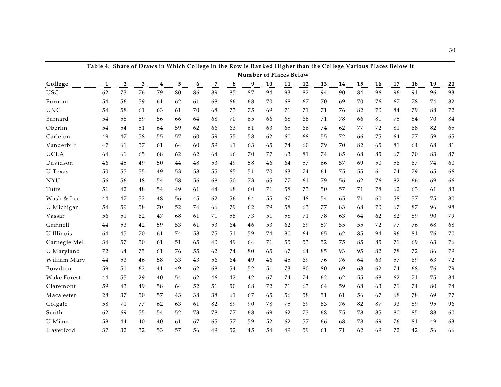|               | Table 4: Share of Draws in Which College in the Row is Ranked Higher than the College Various Places Below It |                        |    |          |    |    |    |    |    |    |    |    |    |    |    |    |    |    |    |    |
|---------------|---------------------------------------------------------------------------------------------------------------|------------------------|----|----------|----|----|----|----|----|----|----|----|----|----|----|----|----|----|----|----|
|               |                                                                                                               | Number of Places Below |    |          |    |    |    |    |    |    |    |    |    |    |    |    |    |    |    |    |
| College       | 1                                                                                                             | $\overline{2}$         | 3  | $\bf{4}$ | 5  | 6  | 7  | 8  | 9  | 10 | 11 | 12 | 13 | 14 | 15 | 16 | 17 | 18 | 19 | 20 |
| <b>USC</b>    | 62                                                                                                            | 73                     | 76 | 79       | 80 | 86 | 89 | 85 | 87 | 94 | 93 | 82 | 94 | 90 | 84 | 96 | 96 | 91 | 96 | 93 |
| Furman        | 54                                                                                                            | 56                     | 59 | 61       | 62 | 61 | 68 | 66 | 68 | 70 | 68 | 67 | 70 | 69 | 70 | 76 | 67 | 78 | 74 | 82 |
| <b>UNC</b>    | 54                                                                                                            | 58                     | 61 | 63       | 61 | 70 | 68 | 73 | 75 | 69 | 71 | 71 | 71 | 76 | 82 | 70 | 84 | 79 | 88 | 72 |
| Barnard       | 54                                                                                                            | 58                     | 59 | 56       | 66 | 64 | 68 | 70 | 65 | 66 | 68 | 68 | 71 | 78 | 66 | 81 | 75 | 84 | 70 | 84 |
| Oberlin       | 54                                                                                                            | 54                     | 51 | 64       | 59 | 62 | 66 | 63 | 61 | 63 | 65 | 66 | 74 | 62 | 77 | 72 | 81 | 68 | 82 | 65 |
| Carleton      | 49                                                                                                            | 47                     | 58 | 55       | 57 | 60 | 59 | 55 | 58 | 62 | 60 | 68 | 55 | 72 | 66 | 75 | 64 | 77 | 59 | 65 |
| Vanderbilt    | 47                                                                                                            | 61                     | 57 | 61       | 64 | 60 | 59 | 61 | 63 | 65 | 74 | 60 | 79 | 70 | 82 | 65 | 81 | 64 | 68 | 81 |
| <b>UCLA</b>   | 64                                                                                                            | 61                     | 65 | 68       | 62 | 62 | 64 | 66 | 70 | 77 | 63 | 81 | 74 | 85 | 68 | 85 | 67 | 70 | 83 | 87 |
| Davidson      | 46                                                                                                            | 45                     | 49 | 50       | 44 | 48 | 53 | 49 | 58 | 46 | 64 | 57 | 66 | 57 | 69 | 50 | 56 | 67 | 74 | 60 |
| U Texas       | 50                                                                                                            | 55                     | 55 | 49       | 53 | 58 | 55 | 65 | 51 | 70 | 63 | 74 | 61 | 75 | 55 | 61 | 74 | 79 | 65 | 66 |
| <b>NYU</b>    | 56                                                                                                            | 56                     | 48 | 54       | 58 | 56 | 68 | 50 | 73 | 65 | 77 | 61 | 79 | 56 | 62 | 76 | 82 | 66 | 69 | 66 |
| Tufts         | 51                                                                                                            | 42                     | 48 | 54       | 49 | 61 | 44 | 68 | 60 | 71 | 58 | 73 | 50 | 57 | 71 | 78 | 62 | 63 | 61 | 83 |
| Wash & Lee    | 44                                                                                                            | 47                     | 52 | 48       | 56 | 45 | 62 | 56 | 64 | 55 | 67 | 48 | 54 | 65 | 71 | 60 | 58 | 57 | 75 | 80 |
| U Michigan    | 54                                                                                                            | 59                     | 58 | 70       | 52 | 74 | 66 | 79 | 62 | 79 | 58 | 63 | 77 | 83 | 68 | 70 | 67 | 87 | 96 | 98 |
| Vassar        | 56                                                                                                            | 51                     | 62 | 47       | 68 | 61 | 71 | 58 | 73 | 51 | 58 | 71 | 78 | 63 | 64 | 62 | 82 | 89 | 90 | 79 |
| Grinnell      | 44                                                                                                            | 53                     | 42 | 59       | 53 | 61 | 53 | 64 | 46 | 53 | 62 | 69 | 57 | 55 | 55 | 72 | 77 | 76 | 68 | 68 |
| U Illinois    | 64                                                                                                            | 45                     | 70 | 61       | 74 | 58 | 75 | 51 | 59 | 74 | 80 | 64 | 65 | 62 | 85 | 94 | 96 | 81 | 76 | 70 |
| Carnegie Mell | 34                                                                                                            | 57                     | 50 | 61       | 51 | 65 | 40 | 49 | 64 | 71 | 55 | 53 | 52 | 75 | 85 | 85 | 71 | 69 | 63 | 76 |
| U Maryland    | 72                                                                                                            | 64                     | 75 | 61       | 76 | 55 | 62 | 74 | 80 | 65 | 67 | 64 | 85 | 93 | 95 | 82 | 78 | 72 | 86 | 79 |
| William Mary  | 44                                                                                                            | 53                     | 46 | 58       | 33 | 43 | 56 | 64 | 49 | 46 | 45 | 69 | 76 | 76 | 64 | 63 | 57 | 69 | 63 | 72 |
| Bowdoin       | 59                                                                                                            | 51                     | 62 | 41       | 49 | 62 | 68 | 54 | 52 | 51 | 73 | 80 | 80 | 69 | 68 | 62 | 74 | 68 | 76 | 79 |
| Wake Forest   | 44                                                                                                            | 55                     | 29 | 40       | 54 | 62 | 46 | 42 | 42 | 67 | 74 | 74 | 62 | 62 | 55 | 68 | 62 | 71 | 75 | 84 |
| Claremont     | 59                                                                                                            | 43                     | 49 | 58       | 64 | 52 | 51 | 50 | 68 | 72 | 71 | 63 | 64 | 59 | 68 | 63 | 71 | 74 | 80 | 74 |
| Macalester    | 28                                                                                                            | 37                     | 50 | 57       | 43 | 38 | 38 | 61 | 67 | 65 | 56 | 58 | 51 | 61 | 56 | 67 | 68 | 78 | 69 | 77 |
| Colgate       | 58                                                                                                            | 71                     | 77 | 62       | 63 | 61 | 82 | 89 | 90 | 78 | 75 | 69 | 83 | 76 | 82 | 87 | 93 | 89 | 95 | 96 |
| Smith         | 62                                                                                                            | 69                     | 55 | 54       | 52 | 73 | 78 | 77 | 68 | 69 | 62 | 73 | 68 | 75 | 78 | 85 | 80 | 85 | 88 | 60 |
| U Miami       | 58                                                                                                            | 44                     | 40 | 40       | 61 | 67 | 65 | 57 | 59 | 52 | 62 | 57 | 66 | 68 | 78 | 69 | 76 | 81 | 49 | 63 |
| Haverford     | 37                                                                                                            | 32                     | 32 | 53       | 57 | 56 | 49 | 52 | 45 | 54 | 49 | 59 | 61 | 71 | 62 | 69 | 72 | 42 | 56 | 66 |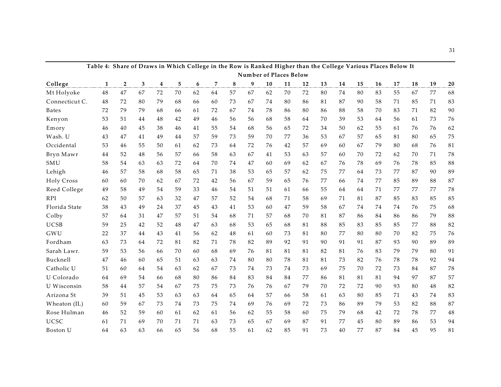|                | Table 4:  Share of Draws in Which College in the Row is Ranked Higher than the College Various Places Below It |                |    |    |    |    |    |    |    |    | Number of Places Below |    |    |    |    |    |    |    |    |    |
|----------------|----------------------------------------------------------------------------------------------------------------|----------------|----|----|----|----|----|----|----|----|------------------------|----|----|----|----|----|----|----|----|----|
| College        | 1                                                                                                              | $\overline{2}$ | 3  | 4  | 5  | 6  | 7  | 8  | 9  | 10 | 11                     | 12 | 13 | 14 | 15 | 16 | 17 | 18 | 19 | 20 |
| Mt Holyoke     | 48                                                                                                             | 47             | 67 | 72 | 70 | 62 | 64 | 57 | 67 | 62 | 70                     | 72 | 80 | 74 | 80 | 83 | 55 | 67 | 77 | 68 |
| Connecticut C. | 48                                                                                                             | 72             | 80 | 79 | 68 | 66 | 60 | 73 | 67 | 74 | 80                     | 86 | 81 | 87 | 90 | 58 | 71 | 85 | 71 | 83 |
| <b>Bates</b>   | 72                                                                                                             | 79             | 79 | 68 | 66 | 61 | 72 | 67 | 74 | 78 | 86                     | 80 | 86 | 88 | 58 | 70 | 83 | 71 | 82 | 90 |
| Kenyon         | 53                                                                                                             | 51             | 44 | 48 | 42 | 49 | 46 | 56 | 56 | 68 | 58                     | 64 | 70 | 39 | 53 | 64 | 56 | 61 | 73 | 76 |
| Emory          | 46                                                                                                             | 40             | 45 | 38 | 46 | 41 | 55 | 54 | 68 | 56 | 65                     | 72 | 34 | 50 | 62 | 55 | 61 | 76 | 76 | 62 |
| Wash. U        | 43                                                                                                             | 47             | 41 | 49 | 44 | 57 | 59 | 73 | 59 | 70 | 77                     | 36 | 53 | 67 | 57 | 65 | 81 | 80 | 65 | 75 |
| Occidental     | 53                                                                                                             | 46             | 55 | 50 | 61 | 62 | 73 | 64 | 72 | 76 | 42                     | 57 | 69 | 60 | 67 | 79 | 80 | 68 | 76 | 81 |
| Bryn Mawr      | 44                                                                                                             | 52             | 48 | 56 | 57 | 66 | 58 | 63 | 67 | 41 | 53                     | 63 | 57 | 60 | 70 | 72 | 62 | 70 | 71 | 78 |
| SMU            | 58                                                                                                             | 54             | 63 | 63 | 72 | 64 | 70 | 74 | 47 | 60 | 69                     | 62 | 67 | 76 | 78 | 69 | 76 | 78 | 85 | 88 |
| Lehigh         | 46                                                                                                             | 57             | 58 | 68 | 58 | 65 | 71 | 38 | 53 | 65 | 57                     | 62 | 75 | 77 | 64 | 73 | 77 | 87 | 90 | 89 |
| Holy Cross     | 60                                                                                                             | 60             | 70 | 62 | 67 | 72 | 42 | 56 | 67 | 59 | 65                     | 76 | 77 | 66 | 74 | 77 | 85 | 89 | 88 | 87 |
| Reed College   | 49                                                                                                             | 58             | 49 | 54 | 59 | 33 | 46 | 54 | 51 | 51 | 61                     | 66 | 55 | 64 | 64 | 71 | 77 | 77 | 77 | 78 |
| <b>RPI</b>     | 62                                                                                                             | 50             | 57 | 63 | 32 | 47 | 57 | 52 | 54 | 68 | 71                     | 58 | 69 | 71 | 81 | 87 | 85 | 83 | 85 | 85 |
| Florida State  | 38                                                                                                             | 43             | 49 | 24 | 37 | 45 | 43 | 41 | 53 | 60 | 47                     | 59 | 58 | 67 | 74 | 74 | 74 | 76 | 75 | 68 |
| Colby          | 57                                                                                                             | 64             | 31 | 47 | 57 | 51 | 54 | 68 | 71 | 57 | 68                     | 70 | 81 | 87 | 86 | 84 | 86 | 86 | 79 | 88 |
| <b>UCSB</b>    | 59                                                                                                             | 25             | 42 | 52 | 48 | 47 | 63 | 68 | 53 | 65 | 68                     | 81 | 88 | 85 | 83 | 85 | 85 | 77 | 88 | 82 |
| GWU            | 22                                                                                                             | 37             | 44 | 43 | 41 | 56 | 62 | 48 | 61 | 60 | 73                     | 81 | 80 | 77 | 80 | 80 | 70 | 82 | 75 | 76 |
| Fordham        | 63                                                                                                             | 73             | 64 | 72 | 81 | 82 | 71 | 78 | 82 | 89 | 92                     | 91 | 90 | 91 | 91 | 87 | 93 | 90 | 89 | 89 |
| Sarah Lawr.    | 59                                                                                                             | 53             | 56 | 66 | 70 | 60 | 68 | 69 | 76 | 81 | 81                     | 81 | 82 | 81 | 76 | 83 | 79 | 79 | 80 | 91 |
| Bucknell       | 47                                                                                                             | 46             | 60 | 65 | 51 | 63 | 63 | 74 | 80 | 80 | 78                     | 81 | 81 | 73 | 82 | 76 | 78 | 78 | 92 | 94 |
| Catholic U     | 51                                                                                                             | 60             | 64 | 54 | 63 | 62 | 67 | 73 | 74 | 73 | 74                     | 73 | 69 | 75 | 70 | 72 | 73 | 84 | 87 | 78 |
| U Colorado     | 64                                                                                                             | 69             | 54 | 66 | 68 | 80 | 86 | 84 | 83 | 84 | 84                     | 77 | 86 | 81 | 81 | 81 | 94 | 97 | 87 | 57 |
| U Wisconsin    | 58                                                                                                             | 44             | 57 | 54 | 67 | 75 | 75 | 73 | 76 | 76 | 67                     | 79 | 70 | 72 | 72 | 90 | 93 | 80 | 48 | 82 |
| Arizona St     | 39                                                                                                             | 51             | 45 | 53 | 63 | 63 | 64 | 65 | 64 | 57 | 66                     | 58 | 61 | 63 | 80 | 85 | 71 | 43 | 74 | 83 |
| Wheaton (IL)   | 60                                                                                                             | 59             | 67 | 73 | 74 | 73 | 75 | 74 | 69 | 76 | 69                     | 72 | 73 | 86 | 89 | 79 | 53 | 82 | 88 | 87 |
| Rose Hulman    | 46                                                                                                             | 52             | 59 | 60 | 61 | 62 | 61 | 56 | 62 | 55 | 58                     | 60 | 75 | 79 | 68 | 42 | 72 | 78 | 77 | 48 |
| <b>UCSC</b>    | 61                                                                                                             | 71             | 69 | 70 | 71 | 71 | 63 | 73 | 65 | 67 | 69                     | 87 | 91 | 77 | 45 | 80 | 89 | 86 | 53 | 94 |
| Boston U       | 64                                                                                                             | 63             | 63 | 66 | 65 | 56 | 68 | 55 | 61 | 62 | 85                     | 91 | 73 | 40 | 77 | 87 | 84 | 45 | 95 | 81 |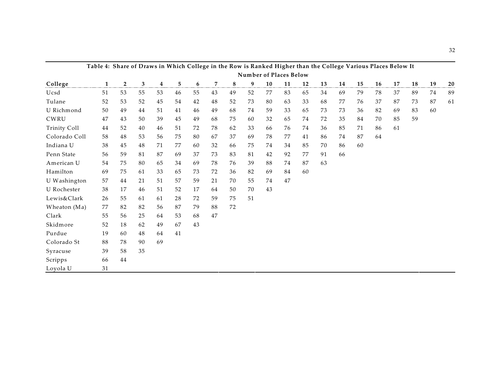|                     | Table 4: Share of Draws in Which College in the Row is Ranked Higher than the College Various Places Below It |                |    |                |    |    |    |    |    |    |    |    |    |    |    |    |    |    |    |    |
|---------------------|---------------------------------------------------------------------------------------------------------------|----------------|----|----------------|----|----|----|----|----|----|----|----|----|----|----|----|----|----|----|----|
|                     | Number of Places Below                                                                                        |                |    |                |    |    |    |    |    |    |    |    |    |    |    |    |    |    |    |    |
| College             | $\mathbf{1}$                                                                                                  | $\overline{2}$ | 3  | $\overline{4}$ | 5  | 6  | 7  | 8  | 9  | 10 | 11 | 12 | 13 | 14 | 15 | 16 | 17 | 18 | 19 | 20 |
| Ucsd                | 51                                                                                                            | 53             | 55 | 53             | 46 | 55 | 43 | 49 | 52 | 77 | 83 | 65 | 34 | 69 | 79 | 78 | 37 | 89 | 74 | 89 |
| Tulane              | 52                                                                                                            | 53             | 52 | 45             | 54 | 42 | 48 | 52 | 73 | 80 | 63 | 33 | 68 | 77 | 76 | 37 | 87 | 73 | 87 | 61 |
| U Richmond          | 50                                                                                                            | 49             | 44 | 51             | 41 | 46 | 49 | 68 | 74 | 59 | 33 | 65 | 73 | 73 | 36 | 82 | 69 | 83 | 60 |    |
| CWRU                | 47                                                                                                            | 43             | 50 | 39             | 45 | 49 | 68 | 75 | 60 | 32 | 65 | 74 | 72 | 35 | 84 | 70 | 85 | 59 |    |    |
| <b>Trinity Coll</b> | 44                                                                                                            | 52             | 40 | 46             | 51 | 72 | 78 | 62 | 33 | 66 | 76 | 74 | 36 | 85 | 71 | 86 | 61 |    |    |    |
| Colorado Coll       | 58                                                                                                            | 48             | 53 | 56             | 75 | 80 | 67 | 37 | 69 | 78 | 77 | 41 | 86 | 74 | 87 | 64 |    |    |    |    |
| Indiana U           | 38                                                                                                            | 45             | 48 | 71             | 77 | 60 | 32 | 66 | 75 | 74 | 34 | 85 | 70 | 86 | 60 |    |    |    |    |    |
| Penn State          | 56                                                                                                            | 59             | 81 | 87             | 69 | 37 | 73 | 83 | 81 | 42 | 92 | 77 | 91 | 66 |    |    |    |    |    |    |
| American U          | 54                                                                                                            | 75             | 80 | 65             | 34 | 69 | 78 | 76 | 39 | 88 | 74 | 87 | 63 |    |    |    |    |    |    |    |
| Hamilton            | 69                                                                                                            | 75             | 61 | 33             | 65 | 73 | 72 | 36 | 82 | 69 | 84 | 60 |    |    |    |    |    |    |    |    |
| U Washington        | 57                                                                                                            | 44             | 21 | 51             | 57 | 59 | 21 | 70 | 55 | 74 | 47 |    |    |    |    |    |    |    |    |    |
| U Rochester         | 38                                                                                                            | 17             | 46 | 51             | 52 | 17 | 64 | 50 | 70 | 43 |    |    |    |    |    |    |    |    |    |    |
| Lewis&Clark         | 26                                                                                                            | 55             | 61 | 61             | 28 | 72 | 59 | 75 | 51 |    |    |    |    |    |    |    |    |    |    |    |
| Wheaton (Ma)        | 77                                                                                                            | 82             | 82 | 56             | 87 | 79 | 88 | 72 |    |    |    |    |    |    |    |    |    |    |    |    |
| Clark               | 55                                                                                                            | 56             | 25 | 64             | 53 | 68 | 47 |    |    |    |    |    |    |    |    |    |    |    |    |    |
| Skidmore            | 52                                                                                                            | 18             | 62 | 49             | 67 | 43 |    |    |    |    |    |    |    |    |    |    |    |    |    |    |
| Purdue              | 19                                                                                                            | 60             | 48 | 64             | 41 |    |    |    |    |    |    |    |    |    |    |    |    |    |    |    |
| Colorado St         | 88                                                                                                            | 78             | 90 | 69             |    |    |    |    |    |    |    |    |    |    |    |    |    |    |    |    |
| Syracuse            | 39                                                                                                            | 58             | 35 |                |    |    |    |    |    |    |    |    |    |    |    |    |    |    |    |    |
| Scripps             | 66                                                                                                            | 44             |    |                |    |    |    |    |    |    |    |    |    |    |    |    |    |    |    |    |
| Loyola U            | 31                                                                                                            |                |    |                |    |    |    |    |    |    |    |    |    |    |    |    |    |    |    |    |

32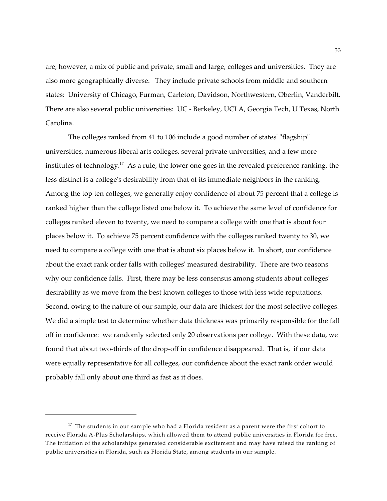are, however, a mix of public and private, small and large, colleges and universities. They are also more geographically diverse. They include private schools from middle and southern states: University of Chicago, Furman, Carleton, Davidson, Northwestern, Oberlin, Vanderbilt. There are also several public universities: UC - Berkeley, UCLA, Georgia Tech, U Texas, North Carolina.

The colleges ranked from 41 to 106 include a good number of states' "flagship" universities, numerous liberal arts colleges, several private universities, and a few more institutes of technology.<sup>17</sup> As a rule, the lower one goes in the revealed preference ranking, the less distinct is a college's desirability from that of its immediate neighbors in the ranking. Among the top ten colleges, we generally enjoy confidence of about 75 percent that a college is ranked higher than the college listed one below it. To achieve the same level of confidence for colleges ranked eleven to twenty, we need to compare a college with one that is about four places below it. To achieve 75 percent confidence with the colleges ranked twenty to 30, we need to compare a college with one that is about six places below it. In short, our confidence about the exact rank order falls with colleges' measured desirability. There are two reasons why our confidence falls. First, there may be less consensus among students about colleges' desirability as we move from the best known colleges to those with less wide reputations. Second, owing to the nature of our sample, our data are thickest for the most selective colleges. We did a simple test to determine whether data thickness was primarily responsible for the fall off in confidence: we randomly selected only 20 observations per college. With these data, we found that about two-thirds of the drop-off in confidence disappeared. That is, if our data were equally representative for all colleges, our confidence about the exact rank order would probably fall only about one third as fast as it does.

 $17$  The students in our sample who had a Florida resident as a parent were the first cohort to receive Florida A-Plus Scholarships, which allowed them to attend public universities in Florida for free. The initiation of the scholarships generated considerable excitement and may have raised the ranking of public universities in Florida, such as Florida State, among students in our sample.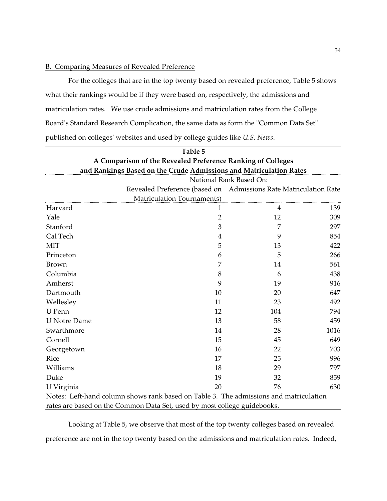## B. Comparing Measures of Revealed Preference

For the colleges that are in the top twenty based on revealed preference, Table 5 shows what their rankings would be if they were based on, respectively, the admissions and matriculation rates. We use crude admissions and matriculation rates from the College Board's Standard Research Complication, the same data as form the "Common Data Set" published on colleges' websites and used by college guides like *U.S. News*.

|                                                                                       | Table 5                                                            |                         |      |
|---------------------------------------------------------------------------------------|--------------------------------------------------------------------|-------------------------|------|
|                                                                                       | A Comparison of the Revealed Preference Ranking of Colleges        |                         |      |
|                                                                                       | and Rankings Based on the Crude Admissions and Matriculation Rates |                         |      |
|                                                                                       |                                                                    | National Rank Based On: |      |
|                                                                                       | Revealed Preference (based on Admissions Rate Matriculation Rate   |                         |      |
|                                                                                       | Matriculation Tournaments)                                         |                         |      |
| Harvard                                                                               | 1                                                                  |                         | 139  |
| Yale                                                                                  | $\overline{2}$                                                     | 12                      | 309  |
| Stanford                                                                              | 3                                                                  | 7                       | 297  |
| Cal Tech                                                                              | $\overline{4}$                                                     | 9                       | 854  |
| <b>MIT</b>                                                                            | 5                                                                  | 13                      | 422  |
| Princeton                                                                             | 6                                                                  | 5                       | 266  |
| <b>Brown</b>                                                                          | 7                                                                  | 14                      | 561  |
| Columbia                                                                              | 8                                                                  | 6                       | 438  |
| Amherst                                                                               | 9                                                                  | 19                      | 916  |
| Dartmouth                                                                             | 10                                                                 | 20                      | 647  |
| Wellesley                                                                             | 11                                                                 | 23                      | 492  |
| U Penn                                                                                | 12                                                                 | 104                     | 794  |
| <b>U</b> Notre Dame                                                                   | 13                                                                 | 58                      | 459  |
| Swarthmore                                                                            | 14                                                                 | 28                      | 1016 |
| Cornell                                                                               | 15                                                                 | 45                      | 649  |
| Georgetown                                                                            | 16                                                                 | 22                      | 703  |
| Rice                                                                                  | 17                                                                 | 25                      | 996  |
| Williams                                                                              | 18                                                                 | 29                      | 797  |
| Duke                                                                                  | 19                                                                 | 32                      | 859  |
| U Virginia                                                                            | 20                                                                 | 76                      | 630  |
| Notes: Left-hand column shows rank based on Table 3. The admissions and matriculation |                                                                    |                         |      |
| rates are based on the Common Data Set, used by most college guidebooks.              |                                                                    |                         |      |

Looking at Table 5, we observe that most of the top twenty colleges based on revealed preference are not in the top twenty based on the admissions and matriculation rates. Indeed,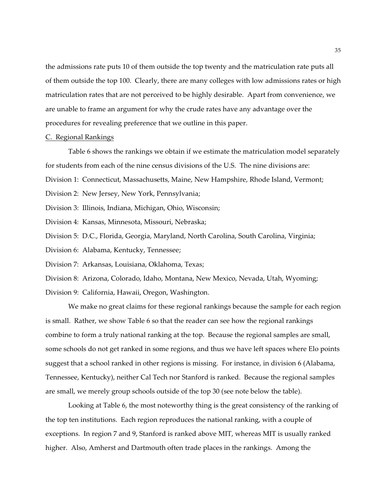the admissions rate puts 10 of them outside the top twenty and the matriculation rate puts all of them outside the top 100. Clearly, there are many colleges with low admissions rates or high matriculation rates that are not perceived to be highly desirable. Apart from convenience, we are unable to frame an argument for why the crude rates have any advantage over the procedures for revealing preference that we outline in this paper.

#### C. Regional Rankings

Table 6 shows the rankings we obtain if we estimate the matriculation model separately for students from each of the nine census divisions of the U.S. The nine divisions are:

Division 1: Connecticut, Massachusetts, Maine, New Hampshire, Rhode Island, Vermont;

Division 2: New Jersey, New York, Pennsylvania;

Division 3: Illinois, Indiana, Michigan, Ohio, Wisconsin;

Division 4: Kansas, Minnesota, Missouri, Nebraska;

Division 5: D.C., Florida, Georgia, Maryland, North Carolina, South Carolina, Virginia;

Division 6: Alabama, Kentucky, Tennessee;

Division 7: Arkansas, Louisiana, Oklahoma, Texas;

Division 8: Arizona, Colorado, Idaho, Montana, New Mexico, Nevada, Utah, Wyoming; Division 9: California, Hawaii, Oregon, Washington.

We make no great claims for these regional rankings because the sample for each region is small. Rather, we show Table 6 so that the reader can see how the regional rankings combine to form a truly national ranking at the top. Because the regional samples are small, some schools do not get ranked in some regions, and thus we have left spaces where Elo points suggest that a school ranked in other regions is missing. For instance, in division 6 (Alabama, Tennessee, Kentucky), neither Cal Tech nor Stanford is ranked. Because the regional samples are small, we merely group schools outside of the top 30 (see note below the table).

Looking at Table 6, the most noteworthy thing is the great consistency of the ranking of the top ten institutions. Each region reproduces the national ranking, with a couple of exceptions. In region 7 and 9, Stanford is ranked above MIT, whereas MIT is usually ranked higher. Also, Amherst and Dartmouth often trade places in the rankings. Among the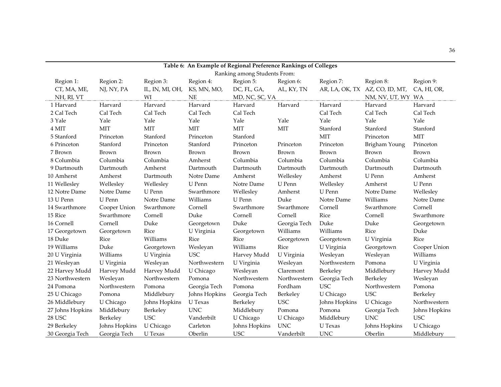| Table 6: An Example of Regional Preference Rankings of Colleges |               |                 |                |                |              |               |                                |               |  |  |  |  |
|-----------------------------------------------------------------|---------------|-----------------|----------------|----------------|--------------|---------------|--------------------------------|---------------|--|--|--|--|
| Ranking among Students From:                                    |               |                 |                |                |              |               |                                |               |  |  |  |  |
| Region 1:                                                       | Region 2:     | Region 3:       | Region 4:      | Region 5:      | Region 6:    | Region 7:     | Region 8:                      | Region 9:     |  |  |  |  |
| CT, MA, ME,                                                     | NJ, NY, PA    | IL, IN, MI, OH, | KS, MN, MO,    | DC, FL, GA,    | AL, KY, TN   |               | AR, LA, OK, TX AZ, CO, ID, MT, | CA, HI, OR,   |  |  |  |  |
| NH, RI, VT                                                      |               | WI              | $\rm NE$       | MD, NC, SC, VA |              |               | NM, NV, UT, WY WA              |               |  |  |  |  |
| 1 Harvard                                                       | Harvard       | Harvard         | Harvard        | Harvard        | Harvard      | Harvard       | Harvard                        | Harvard       |  |  |  |  |
| 2 Cal Tech                                                      | Cal Tech      | Cal Tech        | Cal Tech       | Cal Tech       |              | Cal Tech      | Cal Tech                       | Cal Tech      |  |  |  |  |
| 3 Yale                                                          | Yale          | Yale            | Yale           | Yale           | Yale         | Yale          | Yale                           | Yale          |  |  |  |  |
| 4 MIT                                                           | MIT           | MIT             | MIT            | <b>MIT</b>     | MIT          | Stanford      | Stanford                       | Stanford      |  |  |  |  |
| 5 Stanford                                                      | Princeton     | Stanford        | Princeton      | Stanford       |              | <b>MIT</b>    | Princeton                      | <b>MIT</b>    |  |  |  |  |
| 6 Princeton                                                     | Stanford      | Princeton       | Stanford       | Princeton      | Princeton    | Princeton     | Brigham Young                  | Princeton     |  |  |  |  |
| 7 Brown                                                         | Brown         | Brown           | <b>Brown</b>   | Brown          | Brown        | Brown         | <b>Brown</b>                   | Brown         |  |  |  |  |
| 8 Columbia                                                      | Columbia      | Columbia        | Amherst        | Columbia       | Columbia     | Columbia      | Columbia                       | Columbia      |  |  |  |  |
| 9 Dartmouth                                                     | Dartmouth     | Amherst         | Dartmouth      | Dartmouth      | Dartmouth    | Dartmouth     | Dartmouth                      | Dartmouth     |  |  |  |  |
| 10 Amherst                                                      | Amherst       | Dartmouth       | Notre Dame     | Amherst        | Wellesley    | Amherst       | U Penn                         | Amherst       |  |  |  |  |
| 11 Wellesley                                                    | Wellesley     | Wellesley       | U Penn         | Notre Dame     | U Penn       | Wellesley     | Amherst                        | U Penn        |  |  |  |  |
| 12 Notre Dame                                                   | Notre Dame    | U Penn          | Swarthmore     | Wellesley      | Amherst      | U Penn        | Notre Dame                     | Wellesley     |  |  |  |  |
| 13 U Penn                                                       | U Penn        | Notre Dame      | Williams       | U Penn         | Duke         | Notre Dame    | Williams                       | Notre Dame    |  |  |  |  |
| 14 Swarthmore                                                   | Cooper Union  | Swarthmore      | Cornell        | Swarthmore     | Swarthmore   | Cornell       | Swarthmore                     | Cornell       |  |  |  |  |
| 15 Rice                                                         | Swarthmore    | Cornell         | Duke           | Cornell        | Cornell      | Rice          | Cornell                        | Swarthmore    |  |  |  |  |
| 16 Cornell                                                      | Cornell       | Duke            | Georgetown     | Duke           | Georgia Tech | Duke          | Duke                           | Georgetown    |  |  |  |  |
| 17 Georgetown                                                   | Georgetown    | Rice            | U Virginia     | Georgetown     | Williams     | Williams      | Rice                           | Duke          |  |  |  |  |
| 18 Duke                                                         | Rice          | Williams        | Rice           | Rice           | Georgetown   | Georgetown    | U Virginia                     | Rice          |  |  |  |  |
| 19 Williams                                                     | Duke          | Georgetown      | Wesleyan       | Williams       | Rice         | U Virginia    | Georgetown                     | Cooper Union  |  |  |  |  |
| 20 U Virginia                                                   | Williams      | U Virginia      | <b>USC</b>     | Harvey Mudd    | U Virginia   | Wesleyan      | Wesleyan                       | Williams      |  |  |  |  |
| 21 Wesleyan                                                     | U Virginia    | Wesleyan        | Northwestern   | U Virginia     | Wesleyan     | Northwestern  | Pomona                         | U Virginia    |  |  |  |  |
| 22 Harvey Mudd                                                  | Harvey Mudd   | Harvey Mudd     | U Chicago      | Wesleyan       | Claremont    | Berkeley      | Middlebury                     | Harvey Mudd   |  |  |  |  |
| 23 Northwestern                                                 | Wesleyan      | Northwestern    | Pomona         | Northwestern   | Northwestern | Georgia Tech  | Berkeley                       | Wesleyan      |  |  |  |  |
| 24 Pomona                                                       | Northwestern  | Pomona          | Georgia Tech   | Pomona         | Fordham      | <b>USC</b>    | Northwestern                   | Pomona        |  |  |  |  |
| 25 U Chicago                                                    | Pomona        | Middlebury      | Johns Hopkins  | Georgia Tech   | Berkeley     | U Chicago     | <b>USC</b>                     | Berkeley      |  |  |  |  |
| 26 Middlebury                                                   | U Chicago     | Johns Hopkins   | <b>U</b> Texas | Berkeley       | <b>USC</b>   | Johns Hopkins | U Chicago                      | Northwestern  |  |  |  |  |
| 27 Johns Hopkins                                                | Middlebury    | Berkeley        | <b>UNC</b>     | Middlebury     | Pomona       | Pomona        | Georgia Tech                   | Johns Hopkins |  |  |  |  |
| 28 USC                                                          | Berkeley      | <b>USC</b>      | Vanderbilt     | U Chicago      | U Chicago    | Middlebury    | <b>UNC</b>                     | <b>USC</b>    |  |  |  |  |
| 29 Berkeley                                                     | Johns Hopkins | U Chicago       | Carleton       | Johns Hopkins  | <b>UNC</b>   | U Texas       | Johns Hopkins                  | U Chicago     |  |  |  |  |
| 30 Georgia Tech                                                 | Georgia Tech  | U Texas         | Oberlin        | <b>USC</b>     | Vanderbilt   | <b>UNC</b>    | Oberlin                        | Middlebury    |  |  |  |  |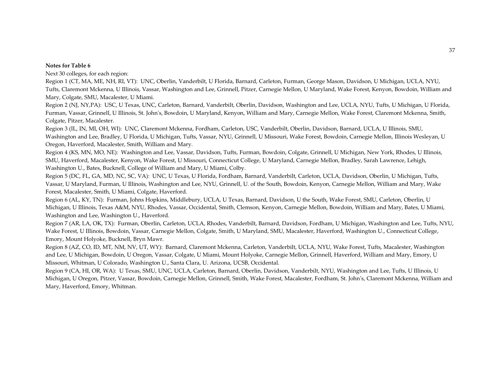#### **Notes for Table 6**

Next 30 colleges, for each region:

Region 1 (CT, MA, ME, NH, RI, VT): UNC, Oberlin, Vanderbilt, U Florida, Barnard, Carleton, Furman, George Mason, Davidson, U Michigan, UCLA, NYU, Tufts, Claremont Mckenna, U Illinois, Vassar, Washington and Lee, Grinnell, Pitzer, Carnegie Mellon, U Maryland, Wake Forest, Kenyon, Bowdoin, William and Mary, Colgate, SMU, Macalester, U Miami.

Region 2 (NJ, NY,PA): USC, U Texas, UNC, Carleton, Barnard, Vanderbilt, Oberlin, Davidson, Washington and Lee, UCLA, NYU, Tufts, U Michigan, U Florida, Furman, Vassar, Grinnell, U Illinois, St. John's, Bowdoin, U Maryland, Kenyon, William and Mary, Carnegie Mellon, Wake Forest, Claremont Mckenna, Smith, Colgate, Pitzer, Macalester.

Region 3 (IL, IN, MI, OH, WI): UNC, Claremont Mckenna, Fordham, Carleton, USC, Vanderbilt, Oberlin, Davidson, Barnard, UCLA, U Illinois, SMU, Washington and Lee, Bradley, U Florida, U Michigan, Tufts, Vassar, NYU, Grinnell, U Missouri, Wake Forest, Bowdoin, Carnegie Mellon, Illinois Wesleyan, U Oregon, Haverford, Macalester, Smith, William and Mary.

Region 4 (KS, MN, MO, NE): Washington and Lee, Vassar, Davidson, Tufts, Furman, Bowdoin, Colgate, Grinnell, U Michigan, New York, Rhodes, U Illinois, SMU, Haverford, Macalester, Kenyon, Wake Forest, U Missouri, Connecticut College, U Maryland, Carnegie Mellon, Bradley, Sarah Lawrence, Lehigh, Washington U., Bates, Bucknell, College of William and Mary, U Miami, Colby.

Region 5 (DC, FL, GA, MD, NC, SC, VA): UNC, U Texas, U Florida, Fordham, Barnard, Vanderbilt, Carleton, UCLA, Davidson, Oberlin, U Michigan, Tufts, Vassar, U Maryland, Furman, U Illinois, Washington and Lee, NYU, Grinnell, U. of the South, Bowdoin, Kenyon, Carnegie Mellon, William and Mary, Wake Forest, Macalester, Smith, U Miami, Colgate, Haverford.

Region 6 (AL, KY, TN): Furman, Johns Hopkins, Middlebury, UCLA, U Texas, Barnard, Davidson, U the South, Wake Forest, SMU, Carleton, Oberlin, U Michigan, U Illinois, Texas A&M, NYU, Rhodes, Vassar, Occidental, Smith, Clemson, Kenyon, Carnegie Mellon, Bowdoin, William and Mary, Bates, U Miami, Washington and Lee, Washington U., Haverford.

Region 7 (AR, LA, OK, TX): Furman, Oberlin, Carleton, UCLA, Rhodes, Vanderbilt, Barnard, Davidson, Fordham, U Michigan, Washington and Lee, Tufts, NYU, Wake Forest, U Illinois, Bowdoin, Vassar, Carnegie Mellon, Colgate, Smith, U Maryland, SMU, Macalester, Haverford, Washington U., Connecticut College, Emory, Mount Holyoke, Bucknell, Bryn Mawr.

Region 8 (AZ, CO, ID, MT, NM, NV, UT, WY): Barnard, Claremont Mckenna, Carleton, Vanderbilt, UCLA, NYU, Wake Forest, Tufts, Macalester, Washington and Lee, U Michigan, Bowdoin, U Oregon, Vassar, Colgate, U Miami, Mount Holyoke, Carnegie Mellon, Grinnell, Haverford, William and Mary, Emory, U Missouri, Whitman, U Colorado, Washington U., Santa Clara, U. Arizona, UCSB, Occidental.

Region 9 (CA, HI, OR, WA): U Texas, SMU, UNC, UCLA, Carleton, Barnard, Oberlin, Davidson, Vanderbilt, NYU, Washington and Lee, Tufts, U Illinois, U Michigan, U Oregon, Pitzer, Vassar, Bowdoin, Carnegie Mellon, Grinnell, Smith, Wake Forest, Macalester, Fordham, St. John's, Claremont Mckenna, William and Mary, Haverford, Emory, Whitman.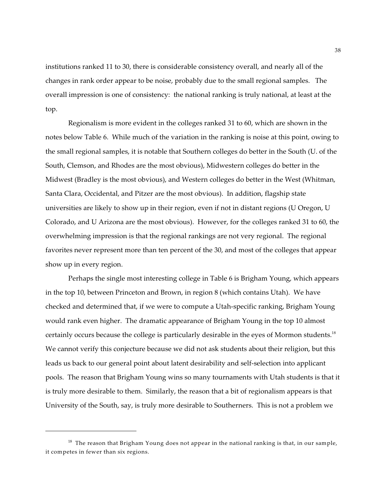institutions ranked 11 to 30, there is considerable consistency overall, and nearly all of the changes in rank order appear to be noise, probably due to the small regional samples. The overall impression is one of consistency: the national ranking is truly national, at least at the top.

Regionalism is more evident in the colleges ranked 31 to 60, which are shown in the notes below Table 6. While much of the variation in the ranking is noise at this point, owing to the small regional samples, it is notable that Southern colleges do better in the South (U. of the South, Clemson, and Rhodes are the most obvious), Midwestern colleges do better in the Midwest (Bradley is the most obvious), and Western colleges do better in the West (Whitman, Santa Clara, Occidental, and Pitzer are the most obvious). In addition, flagship state universities are likely to show up in their region, even if not in distant regions (U Oregon, U Colorado, and U Arizona are the most obvious). However, for the colleges ranked 31 to 60, the overwhelming impression is that the regional rankings are not very regional. The regional favorites never represent more than ten percent of the 30, and most of the colleges that appear show up in every region.

Perhaps the single most interesting college in Table 6 is Brigham Young, which appears in the top 10, between Princeton and Brown, in region 8 (which contains Utah). We have checked and determined that, if we were to compute a Utah-specific ranking, Brigham Young would rank even higher. The dramatic appearance of Brigham Young in the top 10 almost certainly occurs because the college is particularly desirable in the eyes of Mormon students. $^{18}$ We cannot verify this conjecture because we did not ask students about their religion, but this leads us back to our general point about latent desirability and self-selection into applicant pools. The reason that Brigham Young wins so many tournaments with Utah students is that it is truly more desirable to them. Similarly, the reason that a bit of regionalism appears is that University of the South, say, is truly more desirable to Southerners. This is not a problem we

 $18$  The reason that Brigham Young does not appear in the national ranking is that, in our sample, it competes in fewer than six regions.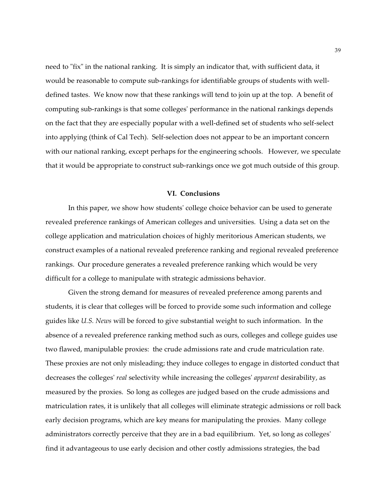need to "fix" in the national ranking. It is simply an indicator that, with sufficient data, it would be reasonable to compute sub-rankings for identifiable groups of students with welldefined tastes. We know now that these rankings will tend to join up at the top. A benefit of computing sub-rankings is that some colleges' performance in the national rankings depends on the fact that they are especially popular with a well-defined set of students who self-select into applying (think of Cal Tech). Self-selection does not appear to be an important concern with our national ranking, except perhaps for the engineering schools. However, we speculate that it would be appropriate to construct sub-rankings once we got much outside of this group.

### **VI. Conclusions**

In this paper, we show how students' college choice behavior can be used to generate revealed preference rankings of American colleges and universities. Using a data set on the college application and matriculation choices of highly meritorious American students, we construct examples of a national revealed preference ranking and regional revealed preference rankings. Our procedure generates a revealed preference ranking which would be very difficult for a college to manipulate with strategic admissions behavior.

Given the strong demand for measures of revealed preference among parents and students, it is clear that colleges will be forced to provide some such information and college guides like *U.S. News* will be forced to give substantial weight to such information. In the absence of a revealed preference ranking method such as ours, colleges and college guides use two flawed, manipulable proxies: the crude admissions rate and crude matriculation rate. These proxies are not only misleading; they induce colleges to engage in distorted conduct that decreases the colleges' *real* selectivity while increasing the colleges' *apparent* desirability, as measured by the proxies. So long as colleges are judged based on the crude admissions and matriculation rates, it is unlikely that all colleges will eliminate strategic admissions or roll back early decision programs, which are key means for manipulating the proxies. Many college administrators correctly perceive that they are in a bad equilibrium. Yet, so long as colleges' find it advantageous to use early decision and other costly admissions strategies, the bad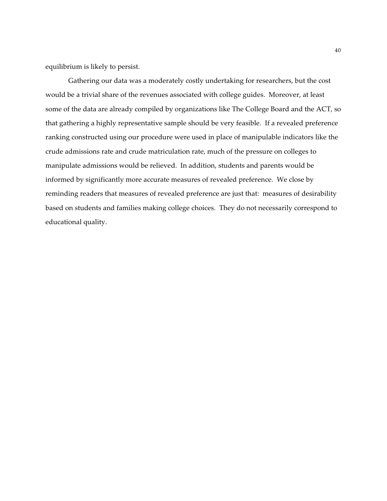equilibrium is likely to persist.

Gathering our data was a moderately costly undertaking for researchers, but the cost would be a trivial share of the revenues associated with college guides. Moreover, at least some of the data are already compiled by organizations like The College Board and the ACT, so that gathering a highly representative sample should be very feasible. If a revealed preference ranking constructed using our procedure were used in place of manipulable indicators like the crude admissions rate and crude matriculation rate, much of the pressure on colleges to manipulate admissions would be relieved. In addition, students and parents would be informed by significantly more accurate measures of revealed preference. We close by reminding readers that measures of revealed preference are just that: measures of desirability based on students and families making college choices. They do not necessarily correspond to educational quality.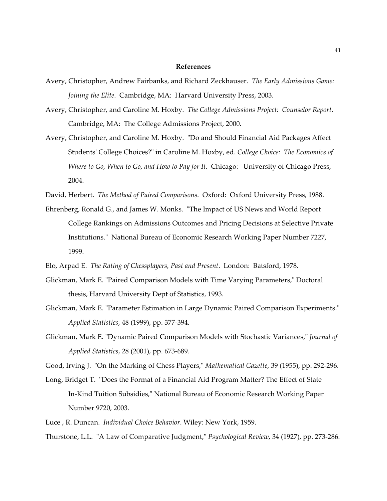### **References**

- Avery, Christopher, Andrew Fairbanks, and Richard Zeckhauser. *The Early Admissions Game: Joining the Elite*. Cambridge, MA: Harvard University Press, 2003.
- Avery, Christopher, and Caroline M. Hoxby. *The College Admissions Project: Counselor Report*. Cambridge, MA: The College Admissions Project, 2000.
- Avery, Christopher, and Caroline M. Hoxby. "Do and Should Financial Aid Packages Affect Students' College Choices?" in Caroline M. Hoxby, ed. *College Choice: The Economics of Where to Go, When to Go, and How to Pay for It*. Chicago: University of Chicago Press, 2004.

David, Herbert. *The Method of Paired Comparisons*. Oxford: Oxford University Press, 1988.

- Ehrenberg, Ronald G., and James W. Monks. "The Impact of US News and World Report College Rankings on Admissions Outcomes and Pricing Decisions at Selective Private Institutions." National Bureau of Economic Research Working Paper Number 7227, 1999.
- Elo, Arpad E. *The Rating of Chessplayers, Past and Present*. London: Batsford, 1978.
- Glickman, Mark E. "Paired Comparison Models with Time Varying Parameters," Doctoral thesis, Harvard University Dept of Statistics, 1993.
- Glickman, Mark E. "Parameter Estimation in Large Dynamic Paired Comparison Experiments." *Applied Statistics*, 48 (1999), pp. 377-394.
- Glickman, Mark E. "Dynamic Paired Comparison Models with Stochastic Variances," *Journal of Applied Statistics*, 28 (2001), pp. 673-689.

Good, Irving J. "On the Marking of Chess Players," *Mathematical Gazette*, 39 (1955), pp. 292-296.

- Long, Bridget T. "Does the Format of a Financial Aid Program Matter? The Effect of State In-Kind Tuition Subsidies," National Bureau of Economic Research Working Paper Number 9720, 2003.
- Luce , R. Duncan. *Individual Choice Behavior*. Wiley: New York, 1959.

Thurstone, L.L. "A Law of Comparative Judgment," *Psychological Review*, 34 (1927), pp. 273-286.